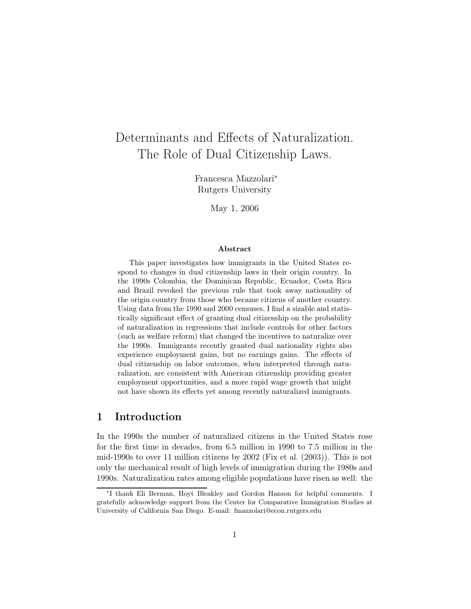# Determinants and Effects of Naturalization. The Role of Dual Citizenship Laws.

Francesca Mazzolari<sup>∗</sup> Rutgers University

May 1, 2006

#### Abstract

This paper investigates how immigrants in the United States respond to changes in dual citizenship laws in their origin country. In the 1990s Colombia, the Dominican Republic, Ecuador, Costa Rica and Brazil revoked the previous rule that took away nationality of the origin country from those who became citizens of another country. Using data from the 1990 and 2000 censuses, I find a sizable and statistically significant effect of granting dual citizenship on the probability of naturalization in regressions that include controls for other factors (such as welfare reform) that changed the incentives to naturalize over the 1990s. Immigrants recently granted dual nationality rights also experience employment gains, but no earnings gains. The effects of dual citizenship on labor outcomes, when interpreted through naturalization, are consistent with American citizenship providing greater employment opportunities, and a more rapid wage growth that might not have shown its effects yet among recently naturalized immigrants.

## 1 Introduction

In the 1990s the number of naturalized citizens in the United States rose for the first time in decades, from 6.5 million in 1990 to 7.5 million in the mid-1990s to over 11 million citizens by 2002 (Fix et al. (2003)). This is not only the mechanical result of high levels of immigration during the 1980s and 1990s. Naturalization rates among eligible populations have risen as well: the

<sup>∗</sup> I thank Eli Berman, Hoyt Bleakley and Gordon Hanson for helpful comments. I gratefully acknowledge support from the Center for Comparative Immigration Studies at University of California San Diego. E-mail: fmazzolari@econ.rutgers.edu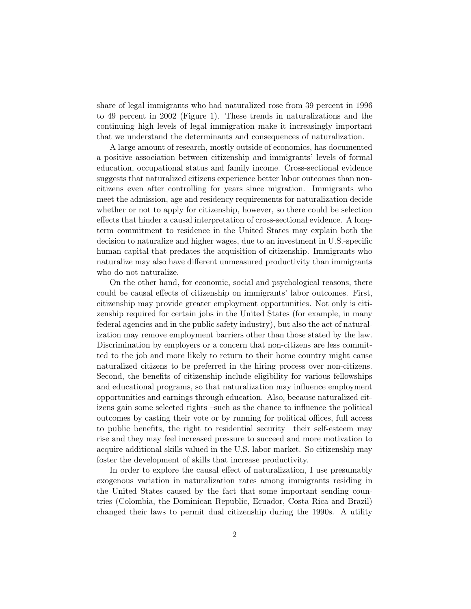share of legal immigrants who had naturalized rose from 39 percent in 1996 to 49 percent in 2002 (Figure 1). These trends in naturalizations and the continuing high levels of legal immigration make it increasingly important that we understand the determinants and consequences of naturalization.

A large amount of research, mostly outside of economics, has documented a positive association between citizenship and immigrants' levels of formal education, occupational status and family income. Cross-sectional evidence suggests that naturalized citizens experience better labor outcomes than noncitizens even after controlling for years since migration. Immigrants who meet the admission, age and residency requirements for naturalization decide whether or not to apply for citizenship, however, so there could be selection effects that hinder a causal interpretation of cross-sectional evidence. A longterm commitment to residence in the United States may explain both the decision to naturalize and higher wages, due to an investment in U.S.-specific human capital that predates the acquisition of citizenship. Immigrants who naturalize may also have different unmeasured productivity than immigrants who do not naturalize.

On the other hand, for economic, social and psychological reasons, there could be causal effects of citizenship on immigrants' labor outcomes. First, citizenship may provide greater employment opportunities. Not only is citizenship required for certain jobs in the United States (for example, in many federal agencies and in the public safety industry), but also the act of naturalization may remove employment barriers other than those stated by the law. Discrimination by employers or a concern that non-citizens are less committed to the job and more likely to return to their home country might cause naturalized citizens to be preferred in the hiring process over non-citizens. Second, the benefits of citizenship include eligibility for various fellowships and educational programs, so that naturalization may influence employment opportunities and earnings through education. Also, because naturalized citizens gain some selected rights –such as the chance to influence the political outcomes by casting their vote or by running for political offices, full access to public benefits, the right to residential security– their self-esteem may rise and they may feel increased pressure to succeed and more motivation to acquire additional skills valued in the U.S. labor market. So citizenship may foster the development of skills that increase productivity.

In order to explore the causal effect of naturalization, I use presumably exogenous variation in naturalization rates among immigrants residing in the United States caused by the fact that some important sending countries (Colombia, the Dominican Republic, Ecuador, Costa Rica and Brazil) changed their laws to permit dual citizenship during the 1990s. A utility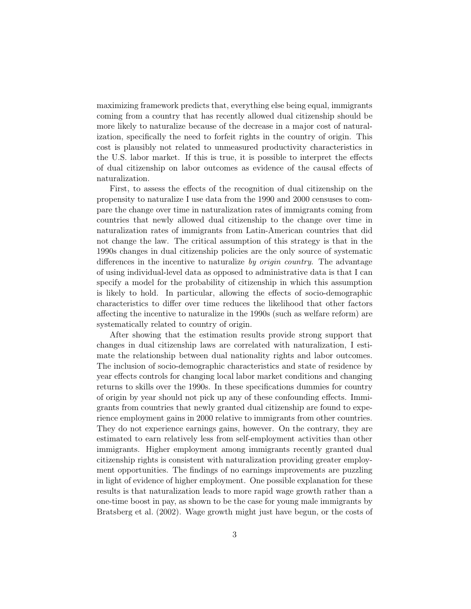maximizing framework predicts that, everything else being equal, immigrants coming from a country that has recently allowed dual citizenship should be more likely to naturalize because of the decrease in a major cost of naturalization, specifically the need to forfeit rights in the country of origin. This cost is plausibly not related to unmeasured productivity characteristics in the U.S. labor market. If this is true, it is possible to interpret the effects of dual citizenship on labor outcomes as evidence of the causal effects of naturalization.

First, to assess the effects of the recognition of dual citizenship on the propensity to naturalize I use data from the 1990 and 2000 censuses to compare the change over time in naturalization rates of immigrants coming from countries that newly allowed dual citizenship to the change over time in naturalization rates of immigrants from Latin-American countries that did not change the law. The critical assumption of this strategy is that in the 1990s changes in dual citizenship policies are the only source of systematic differences in the incentive to naturalize by origin country. The advantage of using individual-level data as opposed to administrative data is that I can specify a model for the probability of citizenship in which this assumption is likely to hold. In particular, allowing the effects of socio-demographic characteristics to differ over time reduces the likelihood that other factors affecting the incentive to naturalize in the 1990s (such as welfare reform) are systematically related to country of origin.

After showing that the estimation results provide strong support that changes in dual citizenship laws are correlated with naturalization, I estimate the relationship between dual nationality rights and labor outcomes. The inclusion of socio-demographic characteristics and state of residence by year effects controls for changing local labor market conditions and changing returns to skills over the 1990s. In these specifications dummies for country of origin by year should not pick up any of these confounding effects. Immigrants from countries that newly granted dual citizenship are found to experience employment gains in 2000 relative to immigrants from other countries. They do not experience earnings gains, however. On the contrary, they are estimated to earn relatively less from self-employment activities than other immigrants. Higher employment among immigrants recently granted dual citizenship rights is consistent with naturalization providing greater employment opportunities. The findings of no earnings improvements are puzzling in light of evidence of higher employment. One possible explanation for these results is that naturalization leads to more rapid wage growth rather than a one-time boost in pay, as shown to be the case for young male immigrants by Bratsberg et al. (2002). Wage growth might just have begun, or the costs of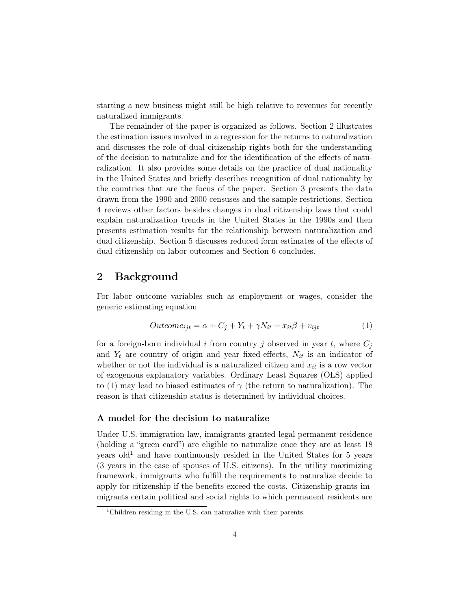starting a new business might still be high relative to revenues for recently naturalized immigrants.

The remainder of the paper is organized as follows. Section 2 illustrates the estimation issues involved in a regression for the returns to naturalization and discusses the role of dual citizenship rights both for the understanding of the decision to naturalize and for the identification of the effects of naturalization. It also provides some details on the practice of dual nationality in the United States and briefly describes recognition of dual nationality by the countries that are the focus of the paper. Section 3 presents the data drawn from the 1990 and 2000 censuses and the sample restrictions. Section 4 reviews other factors besides changes in dual citizenship laws that could explain naturalization trends in the United States in the 1990s and then presents estimation results for the relationship between naturalization and dual citizenship. Section 5 discusses reduced form estimates of the effects of dual citizenship on labor outcomes and Section 6 concludes.

## 2 Background

For labor outcome variables such as employment or wages, consider the generic estimating equation

$$
Outcome_{ijt} = \alpha + C_j + Y_t + \gamma N_{it} + x_{it}\beta + v_{ijt}
$$
\n<sup>(1)</sup>

for a foreign-born individual i from country j observed in year t, where  $C_i$ and  $Y_t$  are country of origin and year fixed-effects,  $N_{it}$  is an indicator of whether or not the individual is a naturalized citizen and  $x_{it}$  is a row vector of exogenous explanatory variables. Ordinary Least Squares (OLS) applied to (1) may lead to biased estimates of  $\gamma$  (the return to naturalization). The reason is that citizenship status is determined by individual choices.

#### A model for the decision to naturalize

Under U.S. immigration law, immigrants granted legal permanent residence (holding a "green card") are eligible to naturalize once they are at least 18 years  $old<sup>1</sup>$  and have continuously resided in the United States for 5 years (3 years in the case of spouses of U.S. citizens). In the utility maximizing framework, immigrants who fulfill the requirements to naturalize decide to apply for citizenship if the benefits exceed the costs. Citizenship grants immigrants certain political and social rights to which permanent residents are

<sup>&</sup>lt;sup>1</sup>Children residing in the U.S. can naturalize with their parents.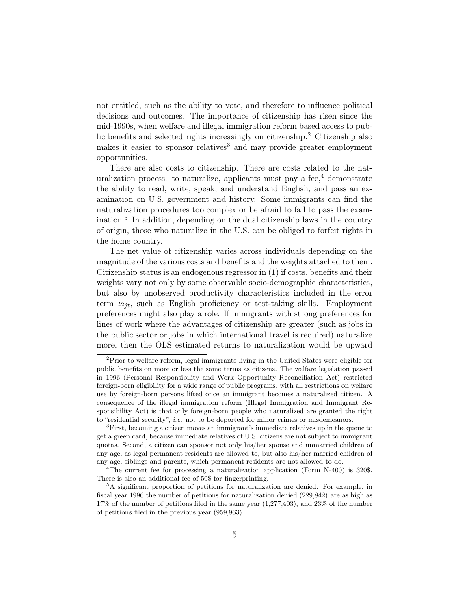not entitled, such as the ability to vote, and therefore to influence political decisions and outcomes. The importance of citizenship has risen since the mid-1990s, when welfare and illegal immigration reform based access to public benefits and selected rights increasingly on citizenship.<sup>2</sup> Citizenship also makes it easier to sponsor relatives<sup>3</sup> and may provide greater employment opportunities.

There are also costs to citizenship. There are costs related to the naturalization process: to naturalize, applicants must pay a fee, $4$  demonstrate the ability to read, write, speak, and understand English, and pass an examination on U.S. government and history. Some immigrants can find the naturalization procedures too complex or be afraid to fail to pass the examination.<sup>5</sup> In addition, depending on the dual citizenship laws in the country of origin, those who naturalize in the U.S. can be obliged to forfeit rights in the home country.

The net value of citizenship varies across individuals depending on the magnitude of the various costs and benefits and the weights attached to them. Citizenship status is an endogenous regressor in (1) if costs, benefits and their weights vary not only by some observable socio-demographic characteristics, but also by unobserved productivity characteristics included in the error term  $\nu_{ijt}$ , such as English proficiency or test-taking skills. Employment preferences might also play a role. If immigrants with strong preferences for lines of work where the advantages of citizenship are greater (such as jobs in the public sector or jobs in which international travel is required) naturalize more, then the OLS estimated returns to naturalization would be upward

 $2^2$ Prior to welfare reform, legal immigrants living in the United States were eligible for public benefits on more or less the same terms as citizens. The welfare legislation passed in 1996 (Personal Responsibility and Work Opportunity Reconciliation Act) restricted foreign-born eligibility for a wide range of public programs, with all restrictions on welfare use by foreign-born persons lifted once an immigrant becomes a naturalized citizen. A consequence of the illegal immigration reform (Illegal Immigration and Immigrant Responsibility Act) is that only foreign-born people who naturalized are granted the right to "residential security", i.e. not to be deported for minor crimes or misdemeanors.

<sup>3</sup>First, becoming a citizen moves an immigrant's immediate relatives up in the queue to get a green card, because immediate relatives of U.S. citizens are not subject to immigrant quotas. Second, a citizen can sponsor not only his/her spouse and unmarried children of any age, as legal permanent residents are allowed to, but also his/her married children of any age, siblings and parents, which permanent residents are not allowed to do.

<sup>&</sup>lt;sup>4</sup>The current fee for processing a naturalization application (Form N-400) is 320\$. There is also an additional fee of 50\$ for fingerprinting.

<sup>&</sup>lt;sup>5</sup>A significant proportion of petitions for naturalization are denied. For example, in fiscal year 1996 the number of petitions for naturalization denied (229,842) are as high as 17% of the number of petitions filed in the same year (1,277,403), and 23% of the number of petitions filed in the previous year (959,963).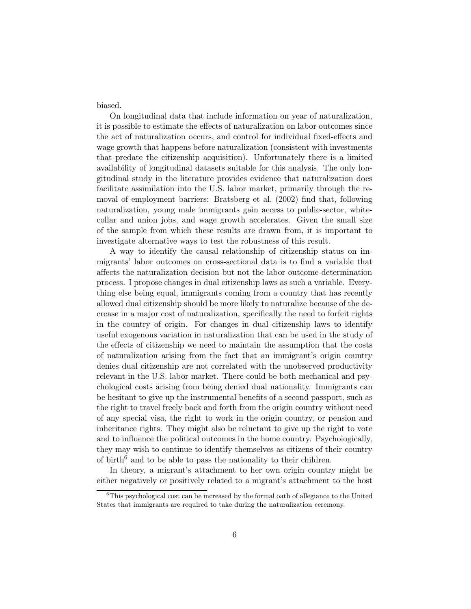biased.

On longitudinal data that include information on year of naturalization, it is possible to estimate the effects of naturalization on labor outcomes since the act of naturalization occurs, and control for individual fixed-effects and wage growth that happens before naturalization (consistent with investments that predate the citizenship acquisition). Unfortunately there is a limited availability of longitudinal datasets suitable for this analysis. The only longitudinal study in the literature provides evidence that naturalization does facilitate assimilation into the U.S. labor market, primarily through the removal of employment barriers: Bratsberg et al. (2002) find that, following naturalization, young male immigrants gain access to public-sector, whitecollar and union jobs, and wage growth accelerates. Given the small size of the sample from which these results are drawn from, it is important to investigate alternative ways to test the robustness of this result.

A way to identify the causal relationship of citizenship status on immigrants' labor outcomes on cross-sectional data is to find a variable that affects the naturalization decision but not the labor outcome-determination process. I propose changes in dual citizenship laws as such a variable. Everything else being equal, immigrants coming from a country that has recently allowed dual citizenship should be more likely to naturalize because of the decrease in a major cost of naturalization, specifically the need to forfeit rights in the country of origin. For changes in dual citizenship laws to identify useful exogenous variation in naturalization that can be used in the study of the effects of citizenship we need to maintain the assumption that the costs of naturalization arising from the fact that an immigrant's origin country denies dual citizenship are not correlated with the unobserved productivity relevant in the U.S. labor market. There could be both mechanical and psychological costs arising from being denied dual nationality. Immigrants can be hesitant to give up the instrumental benefits of a second passport, such as the right to travel freely back and forth from the origin country without need of any special visa, the right to work in the origin country, or pension and inheritance rights. They might also be reluctant to give up the right to vote and to influence the political outcomes in the home country. Psychologically, they may wish to continue to identify themselves as citizens of their country of birth<sup>6</sup> and to be able to pass the nationality to their children.

In theory, a migrant's attachment to her own origin country might be either negatively or positively related to a migrant's attachment to the host

 ${}^{6}$ This psychological cost can be increased by the formal oath of allegiance to the United States that immigrants are required to take during the naturalization ceremony.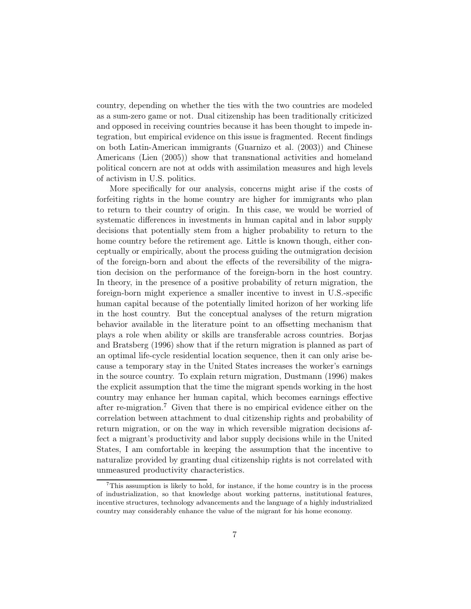country, depending on whether the ties with the two countries are modeled as a sum-zero game or not. Dual citizenship has been traditionally criticized and opposed in receiving countries because it has been thought to impede integration, but empirical evidence on this issue is fragmented. Recent findings on both Latin-American immigrants (Guarnizo et al. (2003)) and Chinese Americans (Lien (2005)) show that transnational activities and homeland political concern are not at odds with assimilation measures and high levels of activism in U.S. politics.

More specifically for our analysis, concerns might arise if the costs of forfeiting rights in the home country are higher for immigrants who plan to return to their country of origin. In this case, we would be worried of systematic differences in investments in human capital and in labor supply decisions that potentially stem from a higher probability to return to the home country before the retirement age. Little is known though, either conceptually or empirically, about the process guiding the outmigration decision of the foreign-born and about the effects of the reversibility of the migration decision on the performance of the foreign-born in the host country. In theory, in the presence of a positive probability of return migration, the foreign-born might experience a smaller incentive to invest in U.S.-specific human capital because of the potentially limited horizon of her working life in the host country. But the conceptual analyses of the return migration behavior available in the literature point to an offsetting mechanism that plays a role when ability or skills are transferable across countries. Borjas and Bratsberg (1996) show that if the return migration is planned as part of an optimal life-cycle residential location sequence, then it can only arise because a temporary stay in the United States increases the worker's earnings in the source country. To explain return migration, Dustmann (1996) makes the explicit assumption that the time the migrant spends working in the host country may enhance her human capital, which becomes earnings effective after re-migration.<sup>7</sup> Given that there is no empirical evidence either on the correlation between attachment to dual citizenship rights and probability of return migration, or on the way in which reversible migration decisions affect a migrant's productivity and labor supply decisions while in the United States, I am comfortable in keeping the assumption that the incentive to naturalize provided by granting dual citizenship rights is not correlated with unmeasured productivity characteristics.

<sup>7</sup>This assumption is likely to hold, for instance, if the home country is in the process of industrialization, so that knowledge about working patterns, institutional features, incentive structures, technology advancements and the language of a highly industrialized country may considerably enhance the value of the migrant for his home economy.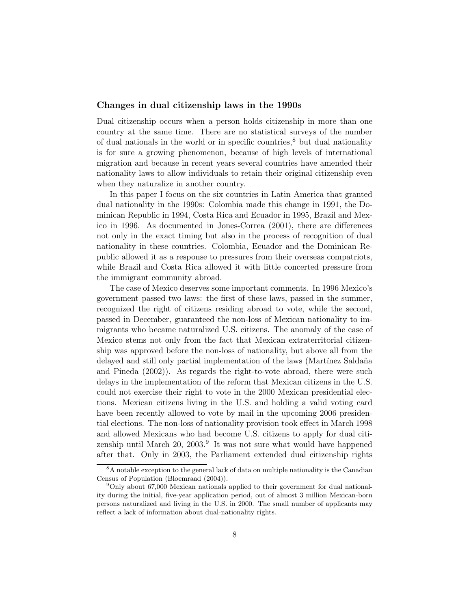#### Changes in dual citizenship laws in the 1990s

Dual citizenship occurs when a person holds citizenship in more than one country at the same time. There are no statistical surveys of the number of dual nationals in the world or in specific countries,<sup>8</sup> but dual nationality is for sure a growing phenomenon, because of high levels of international migration and because in recent years several countries have amended their nationality laws to allow individuals to retain their original citizenship even when they naturalize in another country.

In this paper I focus on the six countries in Latin America that granted dual nationality in the 1990s: Colombia made this change in 1991, the Dominican Republic in 1994, Costa Rica and Ecuador in 1995, Brazil and Mexico in 1996. As documented in Jones-Correa (2001), there are differences not only in the exact timing but also in the process of recognition of dual nationality in these countries. Colombia, Ecuador and the Dominican Republic allowed it as a response to pressures from their overseas compatriots, while Brazil and Costa Rica allowed it with little concerted pressure from the immigrant community abroad.

The case of Mexico deserves some important comments. In 1996 Mexico's government passed two laws: the first of these laws, passed in the summer, recognized the right of citizens residing abroad to vote, while the second, passed in December, guaranteed the non-loss of Mexican nationality to immigrants who became naturalized U.S. citizens. The anomaly of the case of Mexico stems not only from the fact that Mexican extraterritorial citizenship was approved before the non-loss of nationality, but above all from the delayed and still only partial implementation of the laws (Martínez Saldaña and Pineda (2002)). As regards the right-to-vote abroad, there were such delays in the implementation of the reform that Mexican citizens in the U.S. could not exercise their right to vote in the 2000 Mexican presidential elections. Mexican citizens living in the U.S. and holding a valid voting card have been recently allowed to vote by mail in the upcoming 2006 presidential elections. The non-loss of nationality provision took effect in March 1998 and allowed Mexicans who had become U.S. citizens to apply for dual citizenship until March 20, 2003.<sup>9</sup> It was not sure what would have happened after that. Only in 2003, the Parliament extended dual citizenship rights

<sup>8</sup>A notable exception to the general lack of data on multiple nationality is the Canadian Census of Population (Bloemraad (2004)).

<sup>9</sup>Only about 67,000 Mexican nationals applied to their government for dual nationality during the initial, five-year application period, out of almost 3 million Mexican-born persons naturalized and living in the U.S. in 2000. The small number of applicants may reflect a lack of information about dual-nationality rights.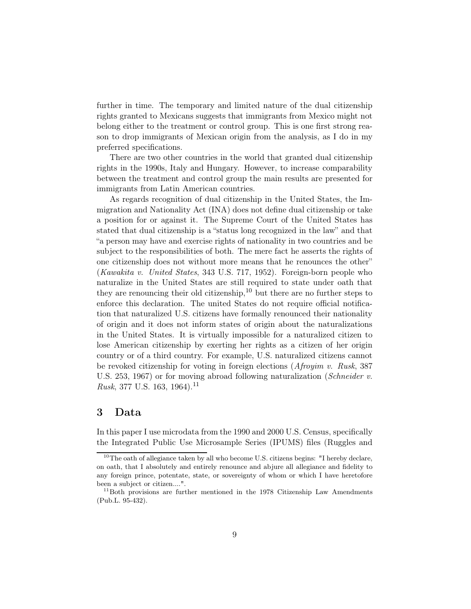further in time. The temporary and limited nature of the dual citizenship rights granted to Mexicans suggests that immigrants from Mexico might not belong either to the treatment or control group. This is one first strong reason to drop immigrants of Mexican origin from the analysis, as I do in my preferred specifications.

There are two other countries in the world that granted dual citizenship rights in the 1990s, Italy and Hungary. However, to increase comparability between the treatment and control group the main results are presented for immigrants from Latin American countries.

As regards recognition of dual citizenship in the United States, the Immigration and Nationality Act (INA) does not define dual citizenship or take a position for or against it. The Supreme Court of the United States has stated that dual citizenship is a "status long recognized in the law" and that "a person may have and exercise rights of nationality in two countries and be subject to the responsibilities of both. The mere fact he asserts the rights of one citizenship does not without more means that he renounces the other" (Kawakita v. United States, 343 U.S. 717, 1952). Foreign-born people who naturalize in the United States are still required to state under oath that they are renouncing their old citizenship,  $10$  but there are no further steps to enforce this declaration. The united States do not require official notification that naturalized U.S. citizens have formally renounced their nationality of origin and it does not inform states of origin about the naturalizations in the United States. It is virtually impossible for a naturalized citizen to lose American citizenship by exerting her rights as a citizen of her origin country or of a third country. For example, U.S. naturalized citizens cannot be revoked citizenship for voting in foreign elections  $(Afroyim v. Rusk, 387)$ U.S. 253, 1967) or for moving abroad following naturalization (Schneider v. *Rusk*, 377 U.S. 163, 1964).<sup>11</sup>

## 3 Data

In this paper I use microdata from the 1990 and 2000 U.S. Census, specifically the Integrated Public Use Microsample Series (IPUMS) files (Ruggles and

 $10$ The oath of allegiance taken by all who become U.S. citizens begins: "I hereby declare, on oath, that I absolutely and entirely renounce and abjure all allegiance and fidelity to any foreign prince, potentate, state, or sovereignty of whom or which I have heretofore been a subject or citizen....".

 $11$ Both provisions are further mentioned in the 1978 Citizenship Law Amendments (Pub.L. 95-432).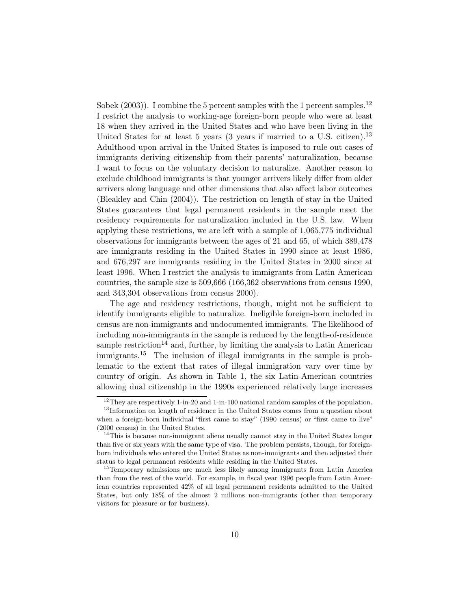Sobek  $(2003)$ ). I combine the 5 percent samples with the 1 percent samples.<sup>12</sup> I restrict the analysis to working-age foreign-born people who were at least 18 when they arrived in the United States and who have been living in the United States for at least 5 years (3 years if married to a U.S. citizen).<sup>13</sup> Adulthood upon arrival in the United States is imposed to rule out cases of immigrants deriving citizenship from their parents' naturalization, because I want to focus on the voluntary decision to naturalize. Another reason to exclude childhood immigrants is that younger arrivers likely differ from older arrivers along language and other dimensions that also affect labor outcomes (Bleakley and Chin (2004)). The restriction on length of stay in the United States guarantees that legal permanent residents in the sample meet the residency requirements for naturalization included in the U.S. law. When applying these restrictions, we are left with a sample of 1,065,775 individual observations for immigrants between the ages of 21 and 65, of which 389,478 are immigrants residing in the United States in 1990 since at least 1986, and 676,297 are immigrants residing in the United States in 2000 since at least 1996. When I restrict the analysis to immigrants from Latin American countries, the sample size is 509,666 (166,362 observations from census 1990, and 343,304 observations from census 2000).

The age and residency restrictions, though, might not be sufficient to identify immigrants eligible to naturalize. Ineligible foreign-born included in census are non-immigrants and undocumented immigrants. The likelihood of including non-immigrants in the sample is reduced by the length-of-residence sample restriction<sup>14</sup> and, further, by limiting the analysis to Latin American immigrants.<sup>15</sup> The inclusion of illegal immigrants in the sample is problematic to the extent that rates of illegal immigration vary over time by country of origin. As shown in Table 1, the six Latin-American countries allowing dual citizenship in the 1990s experienced relatively large increases

<sup>&</sup>lt;sup>12</sup>They are respectively 1-in-20 and 1-in-100 national random samples of the population.

<sup>&</sup>lt;sup>13</sup>Information on length of residence in the United States comes from a question about when a foreign-born individual "first came to stay" (1990 census) or "first came to live" (2000 census) in the United States.

<sup>&</sup>lt;sup>14</sup>This is because non-immigrant aliens usually cannot stay in the United States longer than five or six years with the same type of visa. The problem persists, though, for foreignborn individuals who entered the United States as non-immigrants and then adjusted their status to legal permanent residents while residing in the United States.

<sup>&</sup>lt;sup>15</sup>Temporary admissions are much less likely among immigrants from Latin America than from the rest of the world. For example, in fiscal year 1996 people from Latin American countries represented 42% of all legal permanent residents admitted to the United States, but only 18% of the almost 2 millions non-immigrants (other than temporary visitors for pleasure or for business).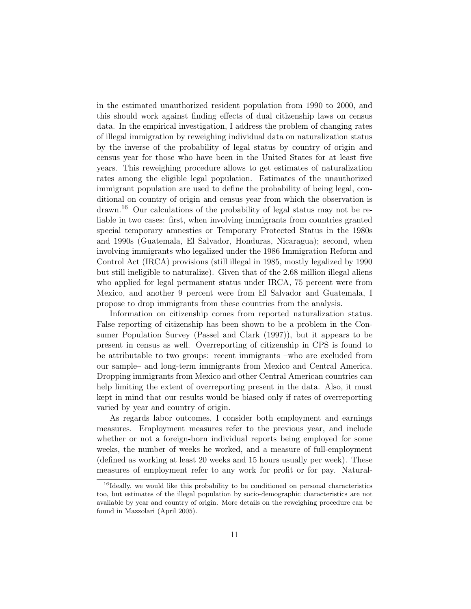in the estimated unauthorized resident population from 1990 to 2000, and this should work against finding effects of dual citizenship laws on census data. In the empirical investigation, I address the problem of changing rates of illegal immigration by reweighing individual data on naturalization status by the inverse of the probability of legal status by country of origin and census year for those who have been in the United States for at least five years. This reweighing procedure allows to get estimates of naturalization rates among the eligible legal population. Estimates of the unauthorized immigrant population are used to define the probability of being legal, conditional on country of origin and census year from which the observation is drawn.<sup>16</sup> Our calculations of the probability of legal status may not be reliable in two cases: first, when involving immigrants from countries granted special temporary amnesties or Temporary Protected Status in the 1980s and 1990s (Guatemala, El Salvador, Honduras, Nicaragua); second, when involving immigrants who legalized under the 1986 Immigration Reform and Control Act (IRCA) provisions (still illegal in 1985, mostly legalized by 1990 but still ineligible to naturalize). Given that of the 2.68 million illegal aliens who applied for legal permanent status under IRCA, 75 percent were from Mexico, and another 9 percent were from El Salvador and Guatemala, I propose to drop immigrants from these countries from the analysis.

Information on citizenship comes from reported naturalization status. False reporting of citizenship has been shown to be a problem in the Consumer Population Survey (Passel and Clark (1997)), but it appears to be present in census as well. Overreporting of citizenship in CPS is found to be attributable to two groups: recent immigrants –who are excluded from our sample– and long-term immigrants from Mexico and Central America. Dropping immigrants from Mexico and other Central American countries can help limiting the extent of overreporting present in the data. Also, it must kept in mind that our results would be biased only if rates of overreporting varied by year and country of origin.

As regards labor outcomes, I consider both employment and earnings measures. Employment measures refer to the previous year, and include whether or not a foreign-born individual reports being employed for some weeks, the number of weeks he worked, and a measure of full-employment (defined as working at least 20 weeks and 15 hours usually per week). These measures of employment refer to any work for profit or for pay. Natural-

<sup>&</sup>lt;sup>16</sup>Ideally, we would like this probability to be conditioned on personal characteristics too, but estimates of the illegal population by socio-demographic characteristics are not available by year and country of origin. More details on the reweighing procedure can be found in Mazzolari (April 2005).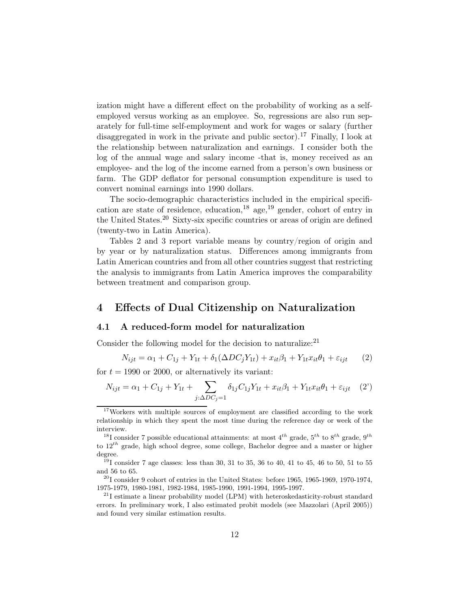ization might have a different effect on the probability of working as a selfemployed versus working as an employee. So, regressions are also run separately for full-time self-employment and work for wages or salary (further disaggregated in work in the private and public sector).<sup>17</sup> Finally, I look at the relationship between naturalization and earnings. I consider both the log of the annual wage and salary income -that is, money received as an employee- and the log of the income earned from a person's own business or farm. The GDP deflator for personal consumption expenditure is used to convert nominal earnings into 1990 dollars.

The socio-demographic characteristics included in the empirical specification are state of residence, education,<sup>18</sup> age,<sup>19</sup> gender, cohort of entry in the United States.<sup>20</sup> Sixty-six specific countries or areas of origin are defined (twenty-two in Latin America).

Tables 2 and 3 report variable means by country/region of origin and by year or by naturalization status. Differences among immigrants from Latin American countries and from all other countries suggest that restricting the analysis to immigrants from Latin America improves the comparability between treatment and comparison group.

## 4 Effects of Dual Citizenship on Naturalization

#### 4.1 A reduced-form model for naturalization

Consider the following model for the decision to naturalize:<sup>21</sup>

$$
N_{ijt} = \alpha_1 + C_{1j} + Y_{1t} + \delta_1(\Delta DC_j Y_{1t}) + x_{it}\beta_1 + Y_{1t}x_{it}\theta_1 + \varepsilon_{ijt} \qquad (2)
$$

for  $t = 1990$  or 2000, or alternatively its variant:

$$
N_{ijt} = \alpha_1 + C_{1j} + Y_{1t} + \sum_{j:\Delta DC_j = 1} \delta_{1j} C_{1j} Y_{1t} + x_{it}\beta_1 + Y_{1t}x_{it}\theta_1 + \varepsilon_{ijt} \quad (2')
$$

<sup>&</sup>lt;sup>17</sup>Workers with multiple sources of employment are classified according to the work relationship in which they spent the most time during the reference day or week of the interview.

<sup>&</sup>lt;sup>18</sup>I consider 7 possible educational attainments: at most  $4^{th}$  grade,  $5^{th}$  to  $8^{th}$  grade,  $9^{th}$ to  $12^{th}$  grade, high school degree, some college, Bachelor degree and a master or higher degree.

 $191$  consider 7 age classes: less than 30, 31 to 35, 36 to 40, 41 to 45, 46 to 50, 51 to 55 and 56 to 65.

 $^{20}$ I consider 9 cohort of entries in the United States: before 1965, 1965-1969, 1970-1974, 1975-1979, 1980-1981, 1982-1984, 1985-1990, 1991-1994, 1995-1997.

 $^{21}$ I estimate a linear probability model (LPM) with heteroskedasticity-robust standard errors. In preliminary work, I also estimated probit models (see Mazzolari (April 2005)) and found very similar estimation results.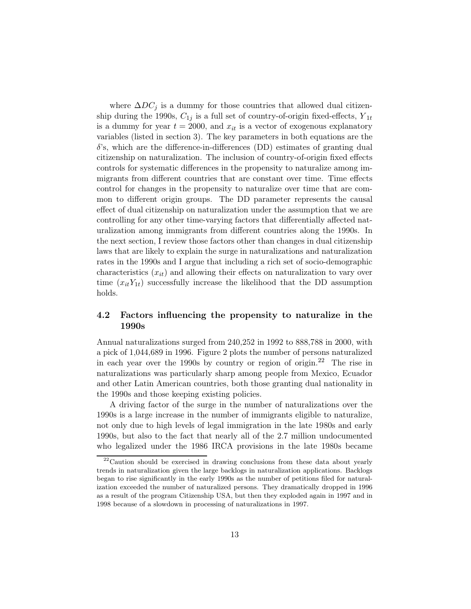where  $\Delta DC_i$  is a dummy for those countries that allowed dual citizenship during the 1990s,  $C_{1j}$  is a full set of country-of-origin fixed-effects,  $Y_{1t}$ is a dummy for year  $t = 2000$ , and  $x<sub>it</sub>$  is a vector of exogenous explanatory variables (listed in section 3). The key parameters in both equations are the  $\delta$ 's, which are the difference-in-differences (DD) estimates of granting dual citizenship on naturalization. The inclusion of country-of-origin fixed effects controls for systematic differences in the propensity to naturalize among immigrants from different countries that are constant over time. Time effects control for changes in the propensity to naturalize over time that are common to different origin groups. The DD parameter represents the causal effect of dual citizenship on naturalization under the assumption that we are controlling for any other time-varying factors that differentially affected naturalization among immigrants from different countries along the 1990s. In the next section, I review those factors other than changes in dual citizenship laws that are likely to explain the surge in naturalizations and naturalization rates in the 1990s and I argue that including a rich set of socio-demographic characteristics  $(x_{it})$  and allowing their effects on naturalization to vary over time  $(x_{it}Y_{1t})$  successfully increase the likelihood that the DD assumption holds.

#### 4.2 Factors influencing the propensity to naturalize in the 1990s

Annual naturalizations surged from 240,252 in 1992 to 888,788 in 2000, with a pick of 1,044,689 in 1996. Figure 2 plots the number of persons naturalized in each year over the 1990s by country or region of origin.<sup>22</sup> The rise in naturalizations was particularly sharp among people from Mexico, Ecuador and other Latin American countries, both those granting dual nationality in the 1990s and those keeping existing policies.

A driving factor of the surge in the number of naturalizations over the 1990s is a large increase in the number of immigrants eligible to naturalize, not only due to high levels of legal immigration in the late 1980s and early 1990s, but also to the fact that nearly all of the 2.7 million undocumented who legalized under the 1986 IRCA provisions in the late 1980s became

 $22$ Caution should be exercised in drawing conclusions from these data about yearly trends in naturalization given the large backlogs in naturalization applications. Backlogs began to rise significantly in the early 1990s as the number of petitions filed for naturalization exceeded the number of naturalized persons. They dramatically dropped in 1996 as a result of the program Citizenship USA, but then they exploded again in 1997 and in 1998 because of a slowdown in processing of naturalizations in 1997.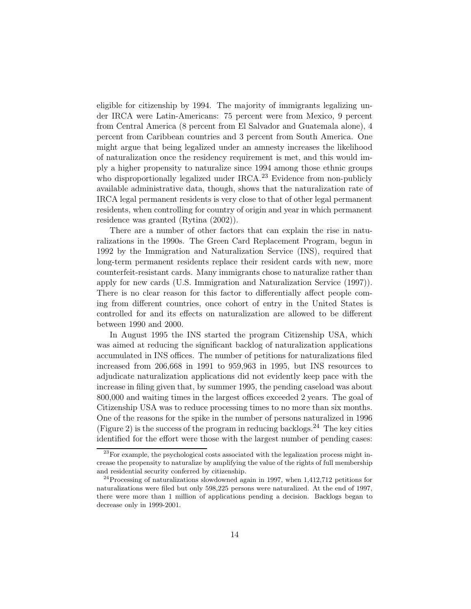eligible for citizenship by 1994. The majority of immigrants legalizing under IRCA were Latin-Americans: 75 percent were from Mexico, 9 percent from Central America (8 percent from El Salvador and Guatemala alone), 4 percent from Caribbean countries and 3 percent from South America. One might argue that being legalized under an amnesty increases the likelihood of naturalization once the residency requirement is met, and this would imply a higher propensity to naturalize since 1994 among those ethnic groups who disproportionally legalized under  $IRCA<sup>23</sup>$  Evidence from non-publicly available administrative data, though, shows that the naturalization rate of IRCA legal permanent residents is very close to that of other legal permanent residents, when controlling for country of origin and year in which permanent residence was granted (Rytina (2002)).

There are a number of other factors that can explain the rise in naturalizations in the 1990s. The Green Card Replacement Program, begun in 1992 by the Immigration and Naturalization Service (INS), required that long-term permanent residents replace their resident cards with new, more counterfeit-resistant cards. Many immigrants chose to naturalize rather than apply for new cards (U.S. Immigration and Naturalization Service (1997)). There is no clear reason for this factor to differentially affect people coming from different countries, once cohort of entry in the United States is controlled for and its effects on naturalization are allowed to be different between 1990 and 2000.

In August 1995 the INS started the program Citizenship USA, which was aimed at reducing the significant backlog of naturalization applications accumulated in INS offices. The number of petitions for naturalizations filed increased from 206,668 in 1991 to 959,963 in 1995, but INS resources to adjudicate naturalization applications did not evidently keep pace with the increase in filing given that, by summer 1995, the pending caseload was about 800,000 and waiting times in the largest offices exceeded 2 years. The goal of Citizenship USA was to reduce processing times to no more than six months. One of the reasons for the spike in the number of persons naturalized in 1996 (Figure 2) is the success of the program in reducing backlogs. <sup>24</sup> The key cities identified for the effort were those with the largest number of pending cases:

 $^{23}$  For example, the psychological costs associated with the legalization process might increase the propensity to naturalize by amplifying the value of the rights of full membership and residential security conferred by citizenship.

 $^{24}$ Processing of naturalizations slowdowned again in 1997, when 1,412,712 petitions for naturalizations were filed but only 598,225 persons were naturalized. At the end of 1997, there were more than 1 million of applications pending a decision. Backlogs began to decrease only in 1999-2001.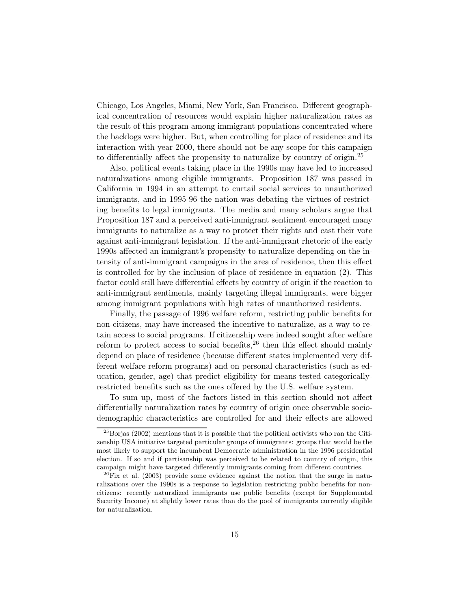Chicago, Los Angeles, Miami, New York, San Francisco. Different geographical concentration of resources would explain higher naturalization rates as the result of this program among immigrant populations concentrated where the backlogs were higher. But, when controlling for place of residence and its interaction with year 2000, there should not be any scope for this campaign to differentially affect the propensity to naturalize by country of origin.<sup>25</sup>

Also, political events taking place in the 1990s may have led to increased naturalizations among eligible immigrants. Proposition 187 was passed in California in 1994 in an attempt to curtail social services to unauthorized immigrants, and in 1995-96 the nation was debating the virtues of restricting benefits to legal immigrants. The media and many scholars argue that Proposition 187 and a perceived anti-immigrant sentiment encouraged many immigrants to naturalize as a way to protect their rights and cast their vote against anti-immigrant legislation. If the anti-immigrant rhetoric of the early 1990s affected an immigrant's propensity to naturalize depending on the intensity of anti-immigrant campaigns in the area of residence, then this effect is controlled for by the inclusion of place of residence in equation (2). This factor could still have differential effects by country of origin if the reaction to anti-immigrant sentiments, mainly targeting illegal immigrants, were bigger among immigrant populations with high rates of unauthorized residents.

Finally, the passage of 1996 welfare reform, restricting public benefits for non-citizens, may have increased the incentive to naturalize, as a way to retain access to social programs. If citizenship were indeed sought after welfare reform to protect access to social benefits,  $26$  then this effect should mainly depend on place of residence (because different states implemented very different welfare reform programs) and on personal characteristics (such as education, gender, age) that predict eligibility for means-tested categoricallyrestricted benefits such as the ones offered by the U.S. welfare system.

To sum up, most of the factors listed in this section should not affect differentially naturalization rates by country of origin once observable sociodemographic characteristics are controlled for and their effects are allowed

 $^{25}$ Borjas (2002) mentions that it is possible that the political activists who ran the Citizenship USA initiative targeted particular groups of immigrants: groups that would be the most likely to support the incumbent Democratic administration in the 1996 presidential election. If so and if partisanship was perceived to be related to country of origin, this campaign might have targeted differently immigrants coming from different countries.

 $^{26}$ Fix et al. (2003) provide some evidence against the notion that the surge in naturalizations over the 1990s is a response to legislation restricting public benefits for noncitizens: recently naturalized immigrants use public benefits (except for Supplemental Security Income) at slightly lower rates than do the pool of immigrants currently eligible for naturalization.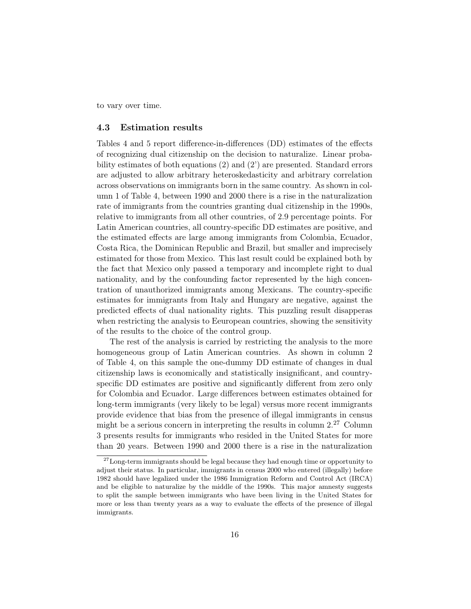to vary over time.

#### 4.3 Estimation results

Tables 4 and 5 report difference-in-differences (DD) estimates of the effects of recognizing dual citizenship on the decision to naturalize. Linear probability estimates of both equations (2) and (2') are presented. Standard errors are adjusted to allow arbitrary heteroskedasticity and arbitrary correlation across observations on immigrants born in the same country. As shown in column 1 of Table 4, between 1990 and 2000 there is a rise in the naturalization rate of immigrants from the countries granting dual citizenship in the 1990s, relative to immigrants from all other countries, of 2.9 percentage points. For Latin American countries, all country-specific DD estimates are positive, and the estimated effects are large among immigrants from Colombia, Ecuador, Costa Rica, the Dominican Republic and Brazil, but smaller and imprecisely estimated for those from Mexico. This last result could be explained both by the fact that Mexico only passed a temporary and incomplete right to dual nationality, and by the confounding factor represented by the high concentration of unauthorized immigrants among Mexicans. The country-specific estimates for immigrants from Italy and Hungary are negative, against the predicted effects of dual nationality rights. This puzzling result disapperas when restricting the analysis to Eeuropean countries, showing the sensitivity of the results to the choice of the control group.

The rest of the analysis is carried by restricting the analysis to the more homogeneous group of Latin American countries. As shown in column 2 of Table 4, on this sample the one-dummy DD estimate of changes in dual citizenship laws is economically and statistically insignificant, and countryspecific DD estimates are positive and significantly different from zero only for Colombia and Ecuador. Large differences between estimates obtained for long-term immigrants (very likely to be legal) versus more recent immigrants provide evidence that bias from the presence of illegal immigrants in census might be a serious concern in interpreting the results in column  $2.27$  Column 3 presents results for immigrants who resided in the United States for more than 20 years. Between 1990 and 2000 there is a rise in the naturalization

 $27$  Long-term immigrants should be legal because they had enough time or opportunity to adjust their status. In particular, immigrants in census 2000 who entered (illegally) before 1982 should have legalized under the 1986 Immigration Reform and Control Act (IRCA) and be eligible to naturalize by the middle of the 1990s. This major amnesty suggests to split the sample between immigrants who have been living in the United States for more or less than twenty years as a way to evaluate the effects of the presence of illegal immigrants.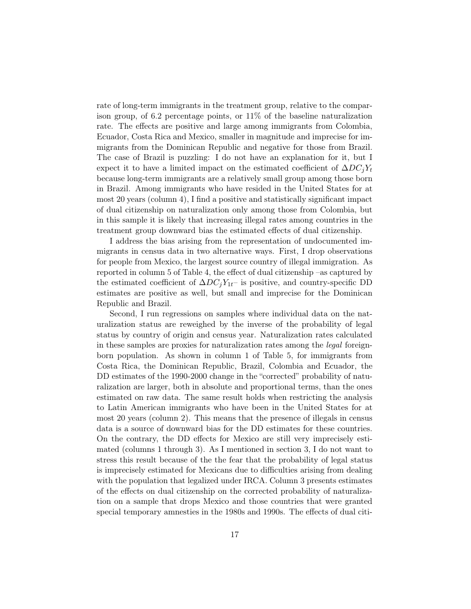rate of long-term immigrants in the treatment group, relative to the comparison group, of 6.2 percentage points, or 11% of the baseline naturalization rate. The effects are positive and large among immigrants from Colombia, Ecuador, Costa Rica and Mexico, smaller in magnitude and imprecise for immigrants from the Dominican Republic and negative for those from Brazil. The case of Brazil is puzzling: I do not have an explanation for it, but I expect it to have a limited impact on the estimated coefficient of  $\Delta DC_iY_t$ because long-term immigrants are a relatively small group among those born in Brazil. Among immigrants who have resided in the United States for at most 20 years (column 4), I find a positive and statistically significant impact of dual citizenship on naturalization only among those from Colombia, but in this sample it is likely that increasing illegal rates among countries in the treatment group downward bias the estimated effects of dual citizenship.

I address the bias arising from the representation of undocumented immigrants in census data in two alternative ways. First, I drop observations for people from Mexico, the largest source country of illegal immigration. As reported in column 5 of Table 4, the effect of dual citizenship –as captured by the estimated coefficient of  $\Delta DC_iY_{1t}$ – is positive, and country-specific DD estimates are positive as well, but small and imprecise for the Dominican Republic and Brazil.

Second, I run regressions on samples where individual data on the naturalization status are reweighed by the inverse of the probability of legal status by country of origin and census year. Naturalization rates calculated in these samples are proxies for naturalization rates among the legal foreignborn population. As shown in column 1 of Table 5, for immigrants from Costa Rica, the Dominican Republic, Brazil, Colombia and Ecuador, the DD estimates of the 1990-2000 change in the "corrected" probability of naturalization are larger, both in absolute and proportional terms, than the ones estimated on raw data. The same result holds when restricting the analysis to Latin American immigrants who have been in the United States for at most 20 years (column 2). This means that the presence of illegals in census data is a source of downward bias for the DD estimates for these countries. On the contrary, the DD effects for Mexico are still very imprecisely estimated (columns 1 through 3). As I mentioned in section 3, I do not want to stress this result because of the the fear that the probability of legal status is imprecisely estimated for Mexicans due to difficulties arising from dealing with the population that legalized under IRCA. Column 3 presents estimates of the effects on dual citizenship on the corrected probability of naturalization on a sample that drops Mexico and those countries that were granted special temporary amnesties in the 1980s and 1990s. The effects of dual citi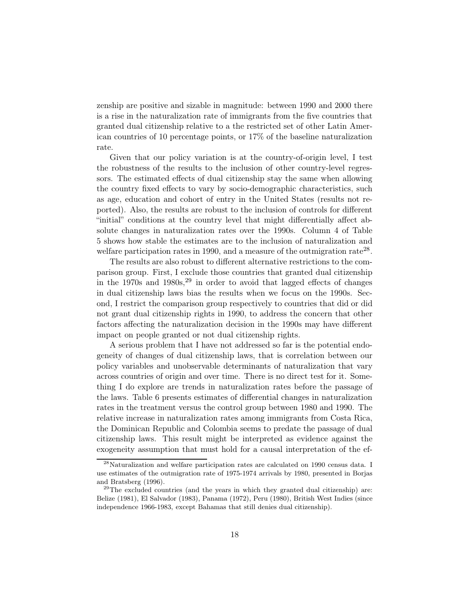zenship are positive and sizable in magnitude: between 1990 and 2000 there is a rise in the naturalization rate of immigrants from the five countries that granted dual citizenship relative to a the restricted set of other Latin American countries of 10 percentage points, or 17% of the baseline naturalization rate.

Given that our policy variation is at the country-of-origin level, I test the robustness of the results to the inclusion of other country-level regressors. The estimated effects of dual citizenship stay the same when allowing the country fixed effects to vary by socio-demographic characteristics, such as age, education and cohort of entry in the United States (results not reported). Also, the results are robust to the inclusion of controls for different "initial" conditions at the country level that might differentially affect absolute changes in naturalization rates over the 1990s. Column 4 of Table 5 shows how stable the estimates are to the inclusion of naturalization and welfare participation rates in 1990, and a measure of the outmigration rate<sup>28</sup>.

The results are also robust to different alternative restrictions to the comparison group. First, I exclude those countries that granted dual citizenship in the  $1970s$  and  $1980s^{29}$  in order to avoid that lagged effects of changes in dual citizenship laws bias the results when we focus on the 1990s. Second, I restrict the comparison group respectively to countries that did or did not grant dual citizenship rights in 1990, to address the concern that other factors affecting the naturalization decision in the 1990s may have different impact on people granted or not dual citizenship rights.

A serious problem that I have not addressed so far is the potential endogeneity of changes of dual citizenship laws, that is correlation between our policy variables and unobservable determinants of naturalization that vary across countries of origin and over time. There is no direct test for it. Something I do explore are trends in naturalization rates before the passage of the laws. Table 6 presents estimates of differential changes in naturalization rates in the treatment versus the control group between 1980 and 1990. The relative increase in naturalization rates among immigrants from Costa Rica, the Dominican Republic and Colombia seems to predate the passage of dual citizenship laws. This result might be interpreted as evidence against the exogeneity assumption that must hold for a causal interpretation of the ef-

<sup>28</sup>Naturalization and welfare participation rates are calculated on 1990 census data. I use estimates of the outmigration rate of 1975-1974 arrivals by 1980, presented in Borjas and Bratsberg (1996).

 $29$ The excluded countries (and the years in which they granted dual citizenship) are: Belize (1981), El Salvador (1983), Panama (1972), Peru (1980), British West Indies (since independence 1966-1983, except Bahamas that still denies dual citizenship).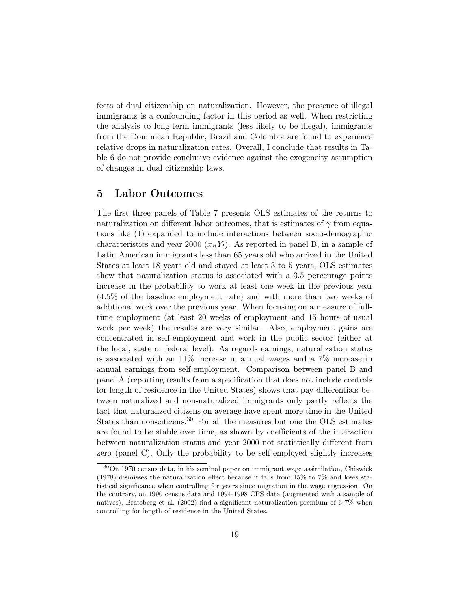fects of dual citizenship on naturalization. However, the presence of illegal immigrants is a confounding factor in this period as well. When restricting the analysis to long-term immigrants (less likely to be illegal), immigrants from the Dominican Republic, Brazil and Colombia are found to experience relative drops in naturalization rates. Overall, I conclude that results in Table 6 do not provide conclusive evidence against the exogeneity assumption of changes in dual citizenship laws.

## 5 Labor Outcomes

The first three panels of Table 7 presents OLS estimates of the returns to naturalization on different labor outcomes, that is estimates of  $\gamma$  from equations like (1) expanded to include interactions between socio-demographic characteristics and year 2000  $(x_{it}Y_t)$ . As reported in panel B, in a sample of Latin American immigrants less than 65 years old who arrived in the United States at least 18 years old and stayed at least 3 to 5 years, OLS estimates show that naturalization status is associated with a 3.5 percentage points increase in the probability to work at least one week in the previous year (4.5% of the baseline employment rate) and with more than two weeks of additional work over the previous year. When focusing on a measure of fulltime employment (at least 20 weeks of employment and 15 hours of usual work per week) the results are very similar. Also, employment gains are concentrated in self-employment and work in the public sector (either at the local, state or federal level). As regards earnings, naturalization status is associated with an 11% increase in annual wages and a 7% increase in annual earnings from self-employment. Comparison between panel B and panel A (reporting results from a specification that does not include controls for length of residence in the United States) shows that pay differentials between naturalized and non-naturalized immigrants only partly reflects the fact that naturalized citizens on average have spent more time in the United States than non-citizens.<sup>30</sup> For all the measures but one the OLS estimates are found to be stable over time, as shown by coefficients of the interaction between naturalization status and year 2000 not statistically different from zero (panel C). Only the probability to be self-employed slightly increases

<sup>30</sup>On 1970 census data, in his seminal paper on immigrant wage assimilation, Chiswick (1978) dismisses the naturalization effect because it falls from 15% to 7% and loses statistical significance when controlling for years since migration in the wage regression. On the contrary, on 1990 census data and 1994-1998 CPS data (augmented with a sample of natives), Bratsberg et al. (2002) find a significant naturalization premium of 6-7% when controlling for length of residence in the United States.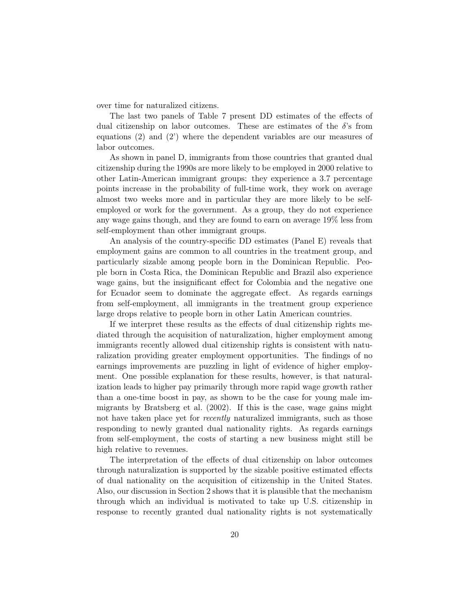over time for naturalized citizens.

The last two panels of Table 7 present DD estimates of the effects of dual citizenship on labor outcomes. These are estimates of the  $\delta$ 's from equations (2) and (2') where the dependent variables are our measures of labor outcomes.

As shown in panel D, immigrants from those countries that granted dual citizenship during the 1990s are more likely to be employed in 2000 relative to other Latin-American immigrant groups: they experience a 3.7 percentage points increase in the probability of full-time work, they work on average almost two weeks more and in particular they are more likely to be selfemployed or work for the government. As a group, they do not experience any wage gains though, and they are found to earn on average 19% less from self-employment than other immigrant groups.

An analysis of the country-specific DD estimates (Panel E) reveals that employment gains are common to all countries in the treatment group, and particularly sizable among people born in the Dominican Republic. People born in Costa Rica, the Dominican Republic and Brazil also experience wage gains, but the insignificant effect for Colombia and the negative one for Ecuador seem to dominate the aggregate effect. As regards earnings from self-employment, all immigrants in the treatment group experience large drops relative to people born in other Latin American countries.

If we interpret these results as the effects of dual citizenship rights mediated through the acquisition of naturalization, higher employment among immigrants recently allowed dual citizenship rights is consistent with naturalization providing greater employment opportunities. The findings of no earnings improvements are puzzling in light of evidence of higher employment. One possible explanation for these results, however, is that naturalization leads to higher pay primarily through more rapid wage growth rather than a one-time boost in pay, as shown to be the case for young male immigrants by Bratsberg et al. (2002). If this is the case, wage gains might not have taken place yet for *recently* naturalized immigrants, such as those responding to newly granted dual nationality rights. As regards earnings from self-employment, the costs of starting a new business might still be high relative to revenues.

The interpretation of the effects of dual citizenship on labor outcomes through naturalization is supported by the sizable positive estimated effects of dual nationality on the acquisition of citizenship in the United States. Also, our discussion in Section 2 shows that it is plausible that the mechanism through which an individual is motivated to take up U.S. citizenship in response to recently granted dual nationality rights is not systematically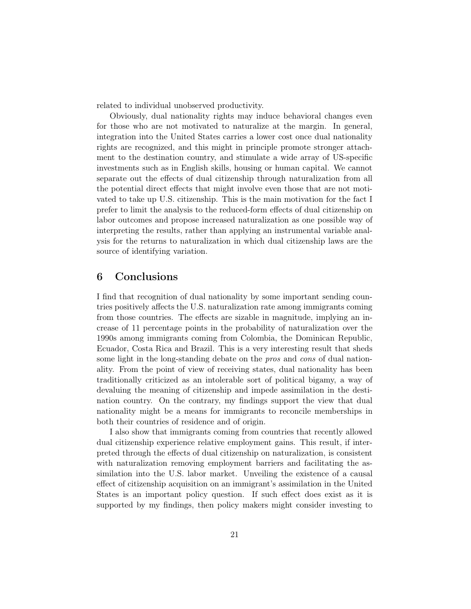related to individual unobserved productivity.

Obviously, dual nationality rights may induce behavioral changes even for those who are not motivated to naturalize at the margin. In general, integration into the United States carries a lower cost once dual nationality rights are recognized, and this might in principle promote stronger attachment to the destination country, and stimulate a wide array of US-specific investments such as in English skills, housing or human capital. We cannot separate out the effects of dual citizenship through naturalization from all the potential direct effects that might involve even those that are not motivated to take up U.S. citizenship. This is the main motivation for the fact I prefer to limit the analysis to the reduced-form effects of dual citizenship on labor outcomes and propose increased naturalization as one possible way of interpreting the results, rather than applying an instrumental variable analysis for the returns to naturalization in which dual citizenship laws are the source of identifying variation.

## 6 Conclusions

I find that recognition of dual nationality by some important sending countries positively affects the U.S. naturalization rate among immigrants coming from those countries. The effects are sizable in magnitude, implying an increase of 11 percentage points in the probability of naturalization over the 1990s among immigrants coming from Colombia, the Dominican Republic, Ecuador, Costa Rica and Brazil. This is a very interesting result that sheds some light in the long-standing debate on the pros and cons of dual nationality. From the point of view of receiving states, dual nationality has been traditionally criticized as an intolerable sort of political bigamy, a way of devaluing the meaning of citizenship and impede assimilation in the destination country. On the contrary, my findings support the view that dual nationality might be a means for immigrants to reconcile memberships in both their countries of residence and of origin.

I also show that immigrants coming from countries that recently allowed dual citizenship experience relative employment gains. This result, if interpreted through the effects of dual citizenship on naturalization, is consistent with naturalization removing employment barriers and facilitating the assimilation into the U.S. labor market. Unveiling the existence of a causal effect of citizenship acquisition on an immigrant's assimilation in the United States is an important policy question. If such effect does exist as it is supported by my findings, then policy makers might consider investing to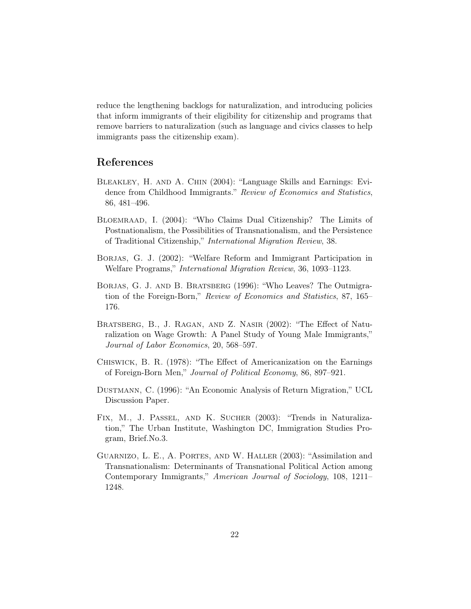reduce the lengthening backlogs for naturalization, and introducing policies that inform immigrants of their eligibility for citizenship and programs that remove barriers to naturalization (such as language and civics classes to help immigrants pass the citizenship exam).

## References

- Bleakley, H. and A. Chin (2004): "Language Skills and Earnings: Evidence from Childhood Immigrants." Review of Economics and Statistics, 86, 481–496.
- Bloemraad, I. (2004): "Who Claims Dual Citizenship? The Limits of Postnationalism, the Possibilities of Transnationalism, and the Persistence of Traditional Citizenship," International Migration Review, 38.
- BORJAS, G. J. (2002): "Welfare Reform and Immigrant Participation in Welfare Programs," International Migration Review, 36, 1093–1123.
- Borjas, G. J. and B. Bratsberg (1996): "Who Leaves? The Outmigration of the Foreign-Born," Review of Economics and Statistics, 87, 165– 176.
- Bratsberg, B., J. Ragan, and Z. Nasir (2002): "The Effect of Naturalization on Wage Growth: A Panel Study of Young Male Immigrants," Journal of Labor Economics, 20, 568–597.
- Chiswick, B. R. (1978): "The Effect of Americanization on the Earnings of Foreign-Born Men," Journal of Political Economy, 86, 897–921.
- Dustmann, C. (1996): "An Economic Analysis of Return Migration," UCL Discussion Paper.
- Fix, M., J. Passel, and K. Sucher (2003): "Trends in Naturalization," The Urban Institute, Washington DC, Immigration Studies Program, Brief.No.3.
- Guarnizo, L. E., A. Portes, and W. Haller (2003): "Assimilation and Transnationalism: Determinants of Transnational Political Action among Contemporary Immigrants," American Journal of Sociology, 108, 1211– 1248.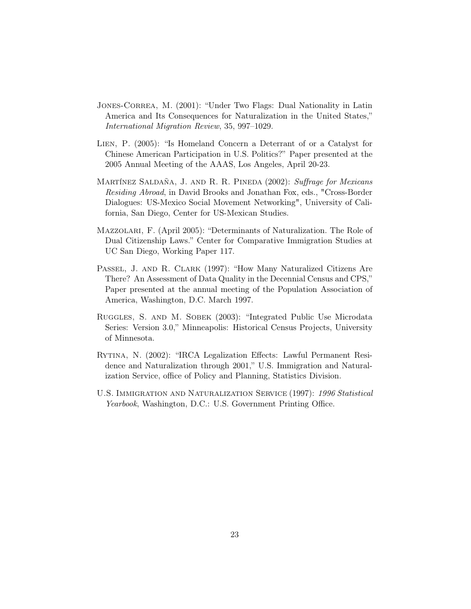- JONES-CORREA, M. (2001): "Under Two Flags: Dual Nationality in Latin America and Its Consequences for Naturalization in the United States," International Migration Review, 35, 997–1029.
- Lien, P. (2005): "Is Homeland Concern a Deterrant of or a Catalyst for Chinese American Participation in U.S. Politics?" Paper presented at the 2005 Annual Meeting of the AAAS, Los Angeles, April 20-23.
- MARTÍNEZ SALDAÑA, J. AND R. R. PINEDA (2002): Suffrage for Mexicans Residing Abroad, in David Brooks and Jonathan Fox, eds., "Cross-Border Dialogues: US-Mexico Social Movement Networking", University of California, San Diego, Center for US-Mexican Studies.
- Mazzolari, F. (April 2005): "Determinants of Naturalization. The Role of Dual Citizenship Laws." Center for Comparative Immigration Studies at UC San Diego, Working Paper 117.
- PASSEL, J. AND R. CLARK (1997): "How Many Naturalized Citizens Are There? An Assessment of Data Quality in the Decennial Census and CPS," Paper presented at the annual meeting of the Population Association of America, Washington, D.C. March 1997.
- Ruggles, S. and M. Sobek (2003): "Integrated Public Use Microdata Series: Version 3.0," Minneapolis: Historical Census Projects, University of Minnesota.
- Rytina, N. (2002): "IRCA Legalization Effects: Lawful Permanent Residence and Naturalization through 2001," U.S. Immigration and Naturalization Service, office of Policy and Planning, Statistics Division.
- U.S. IMMIGRATION AND NATURALIZATION SERVICE (1997): 1996 Statistical Yearbook, Washington, D.C.: U.S. Government Printing Office.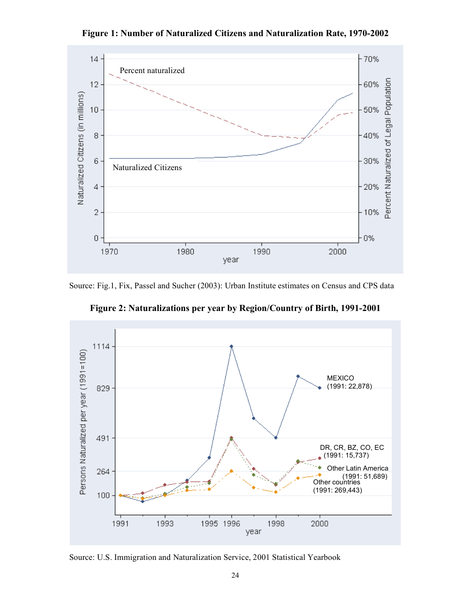**Figure 1: Number of Naturalized Citizens and Naturalization Rate, 1970-2002**



Source: Fig.1, Fix, Passel and Sucher (2003): Urban Institute estimates on Census and CPS data



**Figure 2: Naturalizations per year by Region/Country of Birth, 1991-2001**

Source: U.S. Immigration and Naturalization Service, 2001 Statistical Yearbook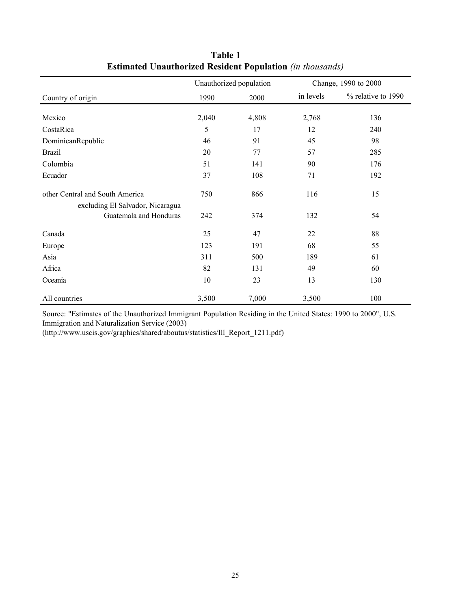|                                  |       | Unauthorized population |           | Change, 1990 to 2000 |
|----------------------------------|-------|-------------------------|-----------|----------------------|
| Country of origin                | 1990  | 2000                    | in levels | % relative to 1990   |
|                                  |       |                         |           |                      |
| Mexico                           | 2,040 | 4,808                   | 2,768     | 136                  |
| CostaRica                        | 5     | 17                      | 12        | 240                  |
| DominicanRepublic                | 46    | 91                      | 45        | 98                   |
| <b>Brazil</b>                    | 20    | 77                      | 57        | 285                  |
| Colombia                         | 51    | 141                     | 90        | 176                  |
| Ecuador                          | 37    | 108                     | 71        | 192                  |
| other Central and South America  | 750   | 866                     | 116       | 15                   |
| excluding El Salvador, Nicaragua |       |                         |           |                      |
| Guatemala and Honduras           | 242   | 374                     | 132       | 54                   |
| Canada                           | 25    | 47                      | 22        | 88                   |
| Europe                           | 123   | 191                     | 68        | 55                   |
| Asia                             | 311   | 500                     | 189       | 61                   |
| Africa                           | 82    | 131                     | 49        | 60                   |
| Oceania                          | 10    | 23                      | 13        | 130                  |
| All countries                    | 3,500 | 7,000                   | 3,500     | 100                  |

**Table 1 Estimated Unauthorized Resident Population** *(in thousands)*

Source: "Estimates of the Unauthorized Immigrant Population Residing in the United States: 1990 to 2000", U.S. Immigration and Naturalization Service (2003)

(http://www.uscis.gov/graphics/shared/aboutus/statistics/Ill\_Report\_1211.pdf)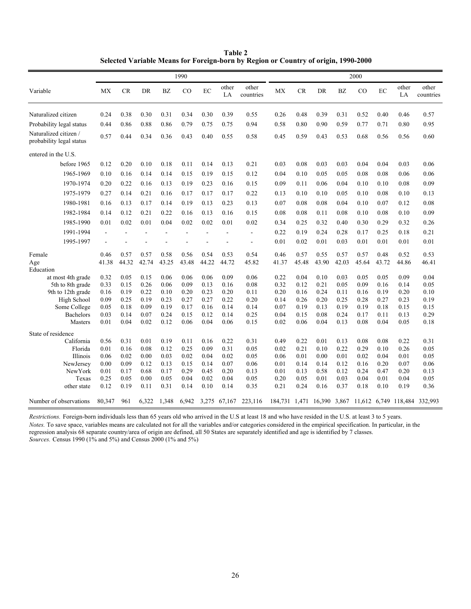**Table 2 Selected Variable Means for Foreign-born by Region or Country of origin, 1990-2000** 

|                                                   | 1990         |              |              |                |                | 2000         |                |                          |              |              |              |              |              |              |              |                                                         |
|---------------------------------------------------|--------------|--------------|--------------|----------------|----------------|--------------|----------------|--------------------------|--------------|--------------|--------------|--------------|--------------|--------------|--------------|---------------------------------------------------------|
| Variable                                          | MX           | <b>CR</b>    | DR           | <b>BZ</b>      | CO             | EC           | other<br>LA    | other<br>countries       | MX           | <b>CR</b>    | DR           | <b>BZ</b>    | CO           | $\rm EC$     | other<br>LA  | other<br>countries                                      |
| Naturalized citizen                               | 0.24         | 0.38         | 0.30         | 0.31           | 0.34           | 0.30         | 0.39           | 0.55                     | 0.26         | 0.48         | 0.39         | 0.31         | 0.52         | 0.40         | 0.46         | 0.57                                                    |
| Probability legal status                          | 0.44         | 0.86         | 0.88         | 0.86           | 0.79           | 0.75         | 0.75           | 0.94                     | 0.58         | 0.80         | 0.90         | 0.59         | 0.77         | 0.71         | 0.80         | 0.95                                                    |
| Naturalized citizen /<br>probability legal status | 0.57         | 0.44         | 0.34         | 0.36           | 0.43           | 0.40         | 0.55           | 0.58                     | 0.45         | 0.59         | 0.43         | 0.53         | 0.68         | 0.56         | 0.56         | 0.60                                                    |
| entered in the U.S.                               |              |              |              |                |                |              |                |                          |              |              |              |              |              |              |              |                                                         |
| before 1965                                       | 0.12         | 0.20         | 0.10         | 0.18           | 0.11           | 0.14         | 0.13           | 0.21                     | 0.03         | 0.08         | 0.03         | 0.03         | 0.04         | 0.04         | 0.03         | 0.06                                                    |
| 1965-1969                                         | 0.10         | 0.16         | 0.14         | 0.14           | 0.15           | 0.19         | 0.15           | 0.12                     | 0.04         | 0.10         | 0.05         | 0.05         | 0.08         | 0.08         | 0.06         | 0.06                                                    |
| 1970-1974                                         | 0.20         | 0.22         | 0.16         | 0.13           | 0.19           | 0.23         | 0.16           | 0.15                     | 0.09         | 0.11         | 0.06         | 0.04         | 0.10         | 0.10         | 0.08         | 0.09                                                    |
| 1975-1979                                         | 0.27         | 0.14         | 0.21         | 0.16           | 0.17           | 0.17         | 0.17           | 0.22                     | 0.13         | 0.10         | 0.10         | 0.05         | 0.10         | 0.08         | 0.10         | 0.13                                                    |
| 1980-1981                                         | 0.16         | 0.13         | 0.17         | 0.14           | 0.19           | 0.13         | 0.23           | 0.13                     | 0.07         | 0.08         | 0.08         | 0.04         | 0.10         | 0.07         | 0.12         | 0.08                                                    |
| 1982-1984                                         | 0.14         | 0.12         | 0.21         | 0.22           | 0.16           | 0.13         | 0.16           | 0.15                     | 0.08         | 0.08         | 0.11         | 0.08         | 0.10         | 0.08         | 0.10         | 0.09                                                    |
| 1985-1990                                         | 0.01         | 0.02         | 0.01         | 0.04           | 0.02           | 0.02         | 0.01           | 0.02                     | 0.34         | 0.25         | 0.32         | 0.40         | 0.30         | 0.29         | 0.32         | 0.26                                                    |
| 1991-1994                                         | $\sim$       |              |              | $\overline{a}$ | $\overline{a}$ | ÷,           | $\blacksquare$ | $\overline{\phantom{a}}$ | 0.22         | 0.19         | 0.24         | 0.28         | 0.17         | 0.25         | 0.18         | 0.21                                                    |
| 1995-1997                                         | ä,           |              |              |                |                |              | ä,             | ٠                        | 0.01         | 0.02         | 0.01         | 0.03         | 0.01         | 0.01         | 0.01         | 0.01                                                    |
| Female                                            | 0.46         | 0.57         | 0.57         | 0.58           | 0.56           | 0.54         | 0.53           | 0.54                     | 0.46         | 0.57         | 0.55         | 0.57         | 0.57         | 0.48         | 0.52         | 0.53                                                    |
| Age                                               | 41.38        | 44.32        | 42.74        | 43.25          | 43.48          | 44.22        | 44.72          | 45.82                    | 41.37        | 45.48        | 43.90        | 42.03        | 45.64        | 43.72        | 44.86        | 46.41                                                   |
| Education                                         |              |              |              |                |                |              |                |                          |              |              |              |              |              |              |              |                                                         |
| at most 4th grade<br>5th to 8th grade             | 0.32<br>0.33 | 0.05<br>0.15 | 0.15<br>0.26 | 0.06<br>0.06   | 0.06<br>0.09   | 0.06<br>0.13 | 0.09<br>0.16   | 0.06<br>0.08             | 0.22<br>0.32 | 0.04<br>0.12 | 0.10<br>0.21 | 0.03<br>0.05 | 0.05<br>0.09 | 0.05<br>0.16 | 0.09<br>0.14 | 0.04<br>0.05                                            |
| 9th to 12th grade                                 | 0.16         | 0.19         | 0.22         | 0.10           | 0.20           | 0.23         | 0.20           | 0.11                     | 0.20         | 0.16         | 0.24         | 0.11         | 0.16         | 0.19         | 0.20         | 0.10                                                    |
| High School                                       | 0.09         | 0.25         | 0.19         | 0.23           | 0.27           | 0.27         | 0.22           | 0.20                     | 0.14         | 0.26         | 0.20         | 0.25         | 0.28         | 0.27         | 0.23         | 0.19                                                    |
| Some College                                      | 0.05         | 0.18         | 0.09         | 0.19           | 0.17           | 0.16         | 0.14           | 0.14                     | 0.07         | 0.19         | 0.13         | 0.19         | 0.19         | 0.18         | 0.15         | 0.15                                                    |
| <b>Bachelors</b>                                  | 0.03         | 0.14         | 0.07         | 0.24           | 0.15           | 0.12         | 0.14           | 0.25                     | 0.04         | 0.15         | 0.08         | 0.24         | 0.17         | 0.11         | 0.13         | 0.29                                                    |
| Masters                                           | 0.01         | 0.04         | 0.02         | 0.12           | 0.06           | 0.04         | 0.06           | 0.15                     | 0.02         | 0.06         | 0.04         | 0.13         | 0.08         | 0.04         | 0.05         | 0.18                                                    |
| State of residence                                |              |              |              |                |                |              |                |                          |              |              |              |              |              |              |              |                                                         |
| California                                        | 0.56         | 0.31         | 0.01         | 0.19           | 0.11           | 0.16         | 0.22           | 0.31                     | 0.49         | 0.22         | 0.01         | 0.13         | 0.08         | 0.08         | 0.22         | 0.31                                                    |
| Florida                                           | 0.01         | 0.16         | 0.08         | 0.12           | 0.25           | 0.09         | 0.31           | 0.05                     | 0.02         | 0.21         | 0.10         | 0.22         | 0.29         | 0.10         | 0.26         | 0.05                                                    |
| Illinois                                          | 0.06         | 0.02         | 0.00         | 0.03           | 0.02           | 0.04         | 0.02           | 0.05                     | 0.06         | 0.01         | 0.00         | 0.01         | 0.02         | 0.04         | 0.01         | 0.05                                                    |
| NewJersey                                         | 0.00         | 0.09         | 0.12         | 0.13           | 0.15           | 0.14         | 0.07           | 0.06                     | 0.01         | 0.14         | 0.14         | 0.12         | 0.16         | 0.20         | 0.07         | 0.06                                                    |
| NewYork                                           | 0.01         | 0.17         | 0.68         | 0.17           | 0.29           | 0.45         | 0.20           | 0.13                     | 0.01         | 0.13         | 0.58         | 0.12         | 0.24         | 0.47         | 0.20         | 0.13                                                    |
| Texas                                             | 0.25         | 0.05         | 0.00         | 0.05           | 0.04           | 0.02         | 0.04           | 0.05                     | 0.20         | 0.05         | 0.01         | 0.03         | 0.04         | 0.01         | 0.04         | 0.05                                                    |
| other state                                       | 0.12         | 0.19         | 0.11         | 0.31           | 0.14           | 0.10         | 0.14           | 0.35                     | 0.21         | 0.24         | 0.16         | 0.37         | 0.18         | 0.10         | 0.19         | 0.36                                                    |
| Number of observations                            | 80,347       | 961          | 6,322        | 1,348          | 6,942          |              | 3,275 67,167   | 223,116                  |              |              |              |              |              |              |              | 184,731 1,471 16,390 3,867 11,612 6,749 118,484 332,993 |

*Restrictions.* Foreign-born individuals less than 65 years old who arrived in the U.S at least 18 and who have resided in the U.S. at least 3 to 5 years. *Sources.* Census 1990 (1% and 5%) and Census 2000 (1% and 5%) *Notes.* To save space, variables means are calculated not for all the variables and/or categories considered in the empirical specification. In particular, in the regression analysis 68 separate country/area of origin are defined, all 50 States are separately identified and age is identified by 7 classes.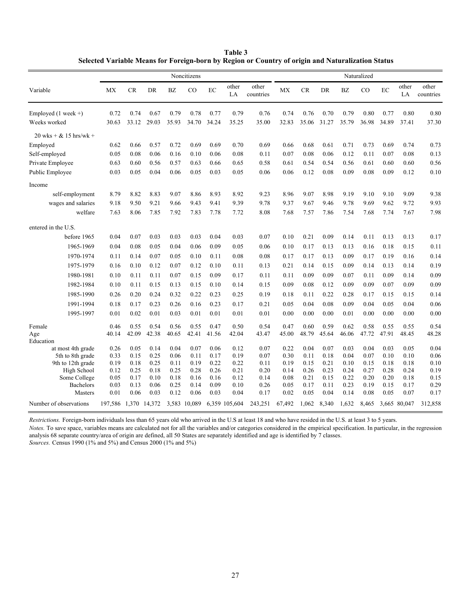**Table 3 Selected Variable Means for Foreign-born by Region or Country of origin and Naturalization Status**

|                                       | Noncitizens          |              |              |              |              | Naturalized  |               |                    |              |              |              |              |              |              |              |                    |
|---------------------------------------|----------------------|--------------|--------------|--------------|--------------|--------------|---------------|--------------------|--------------|--------------|--------------|--------------|--------------|--------------|--------------|--------------------|
| Variable                              | <b>MX</b>            | CR           | DR           | <b>BZ</b>    | $_{\rm CO}$  | EC           | other<br>LA   | other<br>countries | <b>MX</b>    | <b>CR</b>    | DR           | <b>BZ</b>    | CO           | EC           | other<br>LA  | other<br>countries |
| Employed $(1 \text{ week }+)$         | 0.72                 | 0.74         | 0.67         | 0.79         | 0.78         | 0.77         | 0.79          | 0.76               | 0.74         | 0.76         | 0.70         | 0.79         | 0.80         | 0.77         | 0.80         | 0.80               |
| Weeks worked                          | 30.63                | 33.12        | 29.03        | 35.93        | 34.70        | 34.24        | 35.25         | 35.00              | 32.83        | 35.06        | 31.27        | 35.79        | 36.98        | 34.89        | 37.41        | 37.30              |
| $20$ wks + $& 15$ hrs/wk +            |                      |              |              |              |              |              |               |                    |              |              |              |              |              |              |              |                    |
| Employed                              | 0.62                 | 0.66         | 0.57         | 0.72         | 0.69         | 0.69         | 0.70          | 0.69               | 0.66         | 0.68         | 0.61         | 0.71         | 0.73         | 0.69         | 0.74         | 0.73               |
| Self-employed                         | 0.05                 | 0.08         | 0.06         | 0.16         | 0.10         | 0.06         | 0.08          | 0.11               | 0.07         | 0.08         | 0.06         | 0.12         | 0.11         | 0.07         | 0.08         | 0.13               |
| Private Employee                      | 0.63                 | 0.60         | 0.56         | 0.57         | 0.63         | 0.66         | 0.65          | 0.58               | 0.61         | 0.54         | 0.54         | 0.56         | 0.61         | 0.60         | 0.60         | 0.56               |
| Public Employee                       | 0.03                 | 0.05         | 0.04         | 0.06         | 0.05         | 0.03         | 0.05          | 0.06               | 0.06         | 0.12         | 0.08         | 0.09         | 0.08         | 0.09         | 0.12         | 0.10               |
| Income                                |                      |              |              |              |              |              |               |                    |              |              |              |              |              |              |              |                    |
| self-employment                       | 8.79                 | 8.82         | 8.83         | 9.07         | 8.86         | 8.93         | 8.92          | 9.23               | 8.96         | 9.07         | 8.98         | 9.19         | 9.10         | 9.10         | 9.09         | 9.38               |
| wages and salaries                    | 9.18                 | 9.50         | 9.21         | 9.66         | 9.43         | 9.41         | 9.39          | 9.78               | 9.37         | 9.67         | 9.46         | 9.78         | 9.69         | 9.62         | 9.72         | 9.93               |
| welfare                               | 7.63                 | 8.06         | 7.85         | 7.92         | 7.83         | 7.78         | 7.72          | 8.08               | 7.68         | 7.57         | 7.86         | 7.54         | 7.68         | 7.74         | 7.67         | 7.98               |
| entered in the U.S.                   |                      |              |              |              |              |              |               |                    |              |              |              |              |              |              |              |                    |
| before 1965                           | 0.04                 | 0.07         | 0.03         | 0.03         | 0.03         | 0.04         | 0.03          | 0.07               | 0.10         | 0.21         | 0.09         | 0.14         | 0.11         | 0.13         | 0.13         | 0.17               |
| 1965-1969                             | 0.04                 | 0.08         | 0.05         | 0.04         | 0.06         | 0.09         | 0.05          | 0.06               | 0.10         | 0.17         | 0.13         | 0.13         | 0.16         | 0.18         | 0.15         | 0.11               |
| 1970-1974                             | 0.11                 | 0.14         | 0.07         | 0.05         | 0.10         | 0.11         | 0.08          | 0.08               | 0.17         | 0.17         | 0.13         | 0.09         | 0.17         | 0.19         | 0.16         | 0.14               |
| 1975-1979                             | 0.16                 | 0.10         | 0.12         | 0.07         | 0.12         | 0.10         | 0.11          | 0.13               | 0.21         | 0.14         | 0.15         | 0.09         | 0.14         | 0.13         | 0.14         | 0.19               |
| 1980-1981                             | 0.10                 | 0.11         | 0.11         | 0.07         | 0.15         | 0.09         | 0.17          | 0.11               | 0.11         | 0.09         | 0.09         | 0.07         | 0.11         | 0.09         | 0.14         | 0.09               |
| 1982-1984                             | 0.10                 | 0.11         | 0.15         | 0.13         | 0.15         | 0.10         | 0.14          | 0.15               | 0.09         | 0.08         | 0.12         | 0.09         | 0.09         | 0.07         | 0.09         | 0.09               |
| 1985-1990                             | 0.26                 | 0.20         | 0.24         | 0.32         | 0.22         | 0.23         | 0.25          | 0.19               | 0.18         | 0.11         | 0.22         | 0.28         | 0.17         | 0.15         | 0.15         | 0.14               |
| 1991-1994                             | 0.18                 | 0.17         | 0.23         | 0.26         | 0.16         | 0.23         | 0.17          | 0.21               | 0.05         | 0.04         | 0.08         | 0.09         | 0.04         | 0.05         | 0.04         | 0.06               |
| 1995-1997                             | 0.01                 | 0.02         | 0.01         | 0.03         | 0.01         | 0.01         | 0.01          | 0.01               | 0.00         | 0.00         | 0.00         | 0.01         | 0.00         | 0.00         | 0.00         | 0.00               |
| Female                                | 0.46                 | 0.55         | 0.54         | 0.56         | 0.55         | 0.47         | 0.50          | 0.54               | 0.47         | 0.60         | 0.59         | 0.62         | 0.58         | 0.55         | 0.55         | 0.54               |
| Age                                   | 40.14                | 42.09        | 42.38        | 40.65        | 42.41        | 41.56        | 42.04         | 43.47              | 45.00        | 48.79        | 45.64        | 46.06        | 47.72        | 47.91        | 48.45        | 48.28              |
| Education                             |                      |              |              |              |              |              |               |                    |              |              |              |              |              |              |              |                    |
| at most 4th grade                     | 0.26                 | 0.05         | 0.14         | 0.04         | 0.07         | 0.06         | 0.12          | 0.07               | 0.22         | 0.04         | 0.07         | 0.03         | 0.04         | 0.03         | 0.05         | 0.04<br>0.06       |
| 5th to 8th grade<br>9th to 12th grade | 0.33<br>0.19         | 0.15<br>0.18 | 0.25<br>0.25 | 0.06<br>0.11 | 0.11<br>0.19 | 0.17<br>0.22 | 0.19<br>0.22  | 0.07<br>0.11       | 0.30<br>0.19 | 0.11<br>0.15 | 0.18<br>0.21 | 0.04<br>0.10 | 0.07<br>0.15 | 0.10<br>0.18 | 0.10<br>0.18 | 0.10               |
| High School                           | 0.12                 | 0.25         | 0.18         | 0.25         | 0.28         | 0.26         | 0.21          | 0.20               | 0.14         | 0.26         | 0.23         | 0.24         | 0.27         | 0.28         | 0.24         | 0.19               |
| Some College                          | 0.05                 | 0.17         | 0.10         | 0.18         | 0.16         | 0.16         | 0.12          | 0.14               | 0.08         | 0.21         | 0.15         | 0.22         | 0.20         | 0.20         | 0.18         | 0.15               |
| <b>Bachelors</b>                      | 0.03                 | 0.13         | 0.06         | 0.25         | 0.14         | 0.09         | 0.10          | 0.26               | 0.05         | 0.17         | 0.11         | 0.23         | 0.19         | 0.15         | 0.17         | 0.29               |
| <b>Masters</b>                        | 0.01                 | 0.06         | 0.03         | 0.12         | 0.06         | 0.03         | 0.04          | 0.17               | 0.02         | 0.05         | 0.04         | 0.14         | 0.08         | 0.05         | 0.07         | 0.17               |
| Number of observations                | 197,586 1,370 14,372 |              |              |              | 3,583 10,089 |              | 6,359 105,604 | 243,251            | 67,492       | 1,062        | 8,340        | 1,632        | 8,465        |              | 3,665 80,047 | 312,858            |

*Restrictions.* Foreign-born individuals less than 65 years old who arrived in the U.S at least 18 and who have resided in the U.S. at least 3 to 5 years.

*Notes.* To save space, variables means are calculated not for all the variables and/or categories considered in the empirical specification. In particular, in the regression analysis 68 separate country/area of origin are defined, all 50 States are separately identified and age is identified by 7 classes.

*Sources.* Census 1990 (1% and 5%) and Census 2000 (1% and 5%)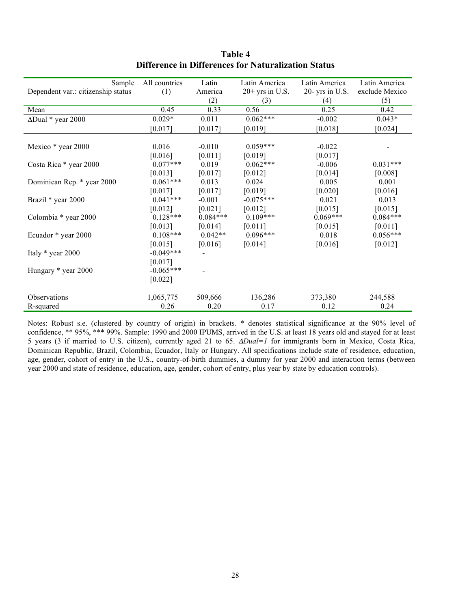| Sample                             | All countries | Latin      | Latin America     | Latin America      | Latin America  |
|------------------------------------|---------------|------------|-------------------|--------------------|----------------|
| Dependent var.: citizenship status | (1)           | America    | $20+$ yrs in U.S. | $20$ - yrs in U.S. | exclude Mexico |
|                                    |               | (2)        | (3)               | (4)                | (5)            |
| Mean                               | 0.45          | 0.33       | 0.56              | 0.25               | 0.42           |
| $\Delta$ Dual * year 2000          | $0.029*$      | 0.011      | $0.062***$        | $-0.002$           | $0.043*$       |
|                                    | [0.017]       | [0.017]    | [0.019]           | [0.018]            | [0.024]        |
|                                    |               |            |                   |                    |                |
| Mexico * year 2000                 | 0.016         | $-0.010$   | $0.059***$        | $-0.022$           |                |
|                                    | [0.016]       | [0.011]    | [0.019]           | [0.017]            |                |
| Costa Rica * year 2000             | $0.077***$    | 0.019      | $0.062***$        | $-0.006$           | $0.031***$     |
|                                    | [0.013]       | [0.017]    | [0.012]           | [0.014]            | [0.008]        |
| Dominican Rep. * year 2000         | $0.061***$    | 0.013      | 0.024             | 0.005              | 0.001          |
|                                    | [0.017]       | [0.017]    | [0.019]           | [0.020]            | [0.016]        |
| Brazil * year 2000                 | $0.041***$    | $-0.001$   | $-0.075***$       | 0.021              | 0.013          |
|                                    | $[0.012]$     | [0.021]    | [0.012]           | [0.015]            | [0.015]        |
| Colombia * year 2000               | $0.128***$    | $0.084***$ | $0.109***$        | $0.069***$         | $0.084***$     |
|                                    | [0.013]       | [0.014]    | [0.011]           | [0.015]            | [0.011]        |
| Ecuador * year 2000                | $0.108***$    | $0.042**$  | $0.096***$        | 0.018              | $0.056***$     |
|                                    | [0.015]       | [0.016]    | [0.014]           | [0.016]            | [0.012]        |
| Italy * year 2000                  | $-0.049***$   |            |                   |                    |                |
|                                    | [0.017]       |            |                   |                    |                |
| Hungary * year 2000                | $-0.065***$   |            |                   |                    |                |
|                                    | [0.022]       |            |                   |                    |                |
|                                    |               |            |                   |                    |                |
| Observations                       | 1,065,775     | 509,666    | 136,286           | 373,380            | 244,588        |
| R-squared                          | 0.26          | 0.20       | 0.17              | 0.12               | 0.24           |

**Table 4 Difference in Differences for Naturalization Status**

Notes: Robust s.e. (clustered by country of origin) in brackets. \* denotes statistical significance at the 90% level of confidence, \*\* 95%, \*\*\* 99%. Sample: 1990 and 2000 IPUMS, arrived in the U.S. at least 18 years old and stayed for at least 5 years (3 if married to U.S. citizen), currently aged 21 to 65.  $\Delta Dual=1$  for immigrants born in Mexico, Costa Rica, Dominican Republic, Brazil, Colombia, Ecuador, Italy or Hungary. All specifications include state of residence, education, age, gender, cohort of entry in the U.S., country-of-birth dummies, a dummy for year 2000 and interaction terms (between year 2000 and state of residence, education, age, gender, cohort of entry, plus year by state by education controls).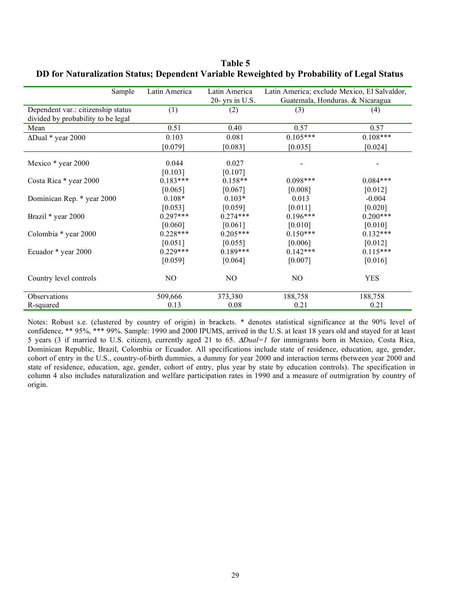| Sample                             | Latin America | Latin America     | Latin America; exclude Mexico, El Salvaldor, |            |  |  |  |
|------------------------------------|---------------|-------------------|----------------------------------------------|------------|--|--|--|
|                                    |               | 20- yrs in $U.S.$ | Guatemala, Honduras. & Nicaragua             |            |  |  |  |
| Dependent var.: citizenship status | (1)           | (2)               | (3)                                          | (4)        |  |  |  |
| divided by probability to be legal |               |                   |                                              |            |  |  |  |
| Mean                               | 0.51          | 0.40              | 0.57                                         | 0.57       |  |  |  |
| $\Delta$ Dual * year 2000          | 0.103         | 0.081             | $0.105***$                                   | $0.108***$ |  |  |  |
|                                    | [0.079]       | [0.083]           | [0.035]                                      | [0.024]    |  |  |  |
| Mexico * year 2000                 | 0.044         | 0.027             |                                              |            |  |  |  |
|                                    | [0.103]       | [0.107]           |                                              |            |  |  |  |
| Costa Rica * year 2000             | $0.183***$    | $0.158**$         | $0.098***$                                   | $0.084***$ |  |  |  |
|                                    | [0.065]       | [0.067]           | [0.008]                                      | [0.012]    |  |  |  |
| Dominican Rep. * year 2000         | $0.108*$      | $0.103*$          | 0.013                                        | $-0.004$   |  |  |  |
|                                    | [0.053]       | [0.059]           | [0.011]                                      | [0.020]    |  |  |  |
| Brazil * year 2000                 | $0.297***$    | $0.274***$        | $0.196***$                                   | $0.200***$ |  |  |  |
|                                    | [0.060]       | [0.061]           | [0.010]                                      | [0.010]    |  |  |  |
| Colombia * year 2000               | $0.228***$    | $0.205***$        | $0.150***$                                   | $0.132***$ |  |  |  |
|                                    | [0.051]       | [0.055]           | [0.006]                                      | [0.012]    |  |  |  |
| Ecuador * year 2000                | $0.229***$    | $0.189***$        | $0.142***$                                   | $0.115***$ |  |  |  |
|                                    | [0.059]       | [0.064]           | [0.007]                                      | [0.016]    |  |  |  |
| Country level controls             | NO.           | NO.               | N <sub>O</sub>                               | <b>YES</b> |  |  |  |
| Observations                       | 509,666       | 373,380           | 188,758                                      | 188,758    |  |  |  |
| R-squared                          | 0.13          | 0.08              | 0.21                                         | 0.21       |  |  |  |

**Table 5 DD for Naturalization Status; Dependent Variable Reweighted by Probability of Legal Status**

Notes: Robust s.e. (clustered by country of origin) in brackets. \* denotes statistical significance at the 90% level of confidence, \*\* 95%, \*\*\* 99%. Sample: 1990 and 2000 IPUMS, arrived in the U.S. at least 18 years old and stayed for at least 5 years (3 if married to U.S. citizen), currently aged 21 to 65.  $\Delta Dual=1$  for immigrants born in Mexico, Costa Rica, Dominican Republic, Brazil, Colombia or Ecuador. All specifications include state of residence, education, age, gender, cohort of entry in the U.S., country-of-birth dummies, a dummy for year 2000 and interaction terms (between year 2000 and state of residence, education, age, gender, cohort of entry, plus year by state by education controls). The specification in column 4 also includes naturalization and welfare participation rates in 1990 and a measure of outmigration by country of origin.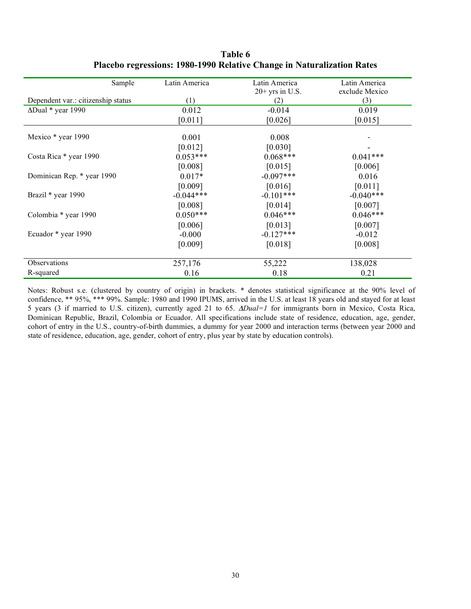| Sample                             | Latin America | Latin America     | Latin America  |
|------------------------------------|---------------|-------------------|----------------|
|                                    |               | $20+$ yrs in U.S. | exclude Mexico |
| Dependent var.: citizenship status | (1)           | (2)               | (3)            |
| $\Delta$ Dual * year 1990          | 0.012         | $-0.014$          | 0.019          |
|                                    | [0.011]       | [0.026]           | [0.015]        |
| Mexico * year 1990                 | 0.001         | 0.008             |                |
|                                    | [0.012]       | [0.030]           |                |
| Costa Rica * year 1990             | $0.053***$    | $0.068***$        | $0.041***$     |
|                                    | [0.008]       | [0.015]           | [0.006]        |
| Dominican Rep. * year 1990         | $0.017*$      | $-0.097***$       | 0.016          |
|                                    | [0.009]       | [0.016]           | [0.011]        |
| Brazil * year 1990                 | $-0.044***$   | $-0.101***$       | $-0.040***$    |
|                                    | [0.008]       | [0.014]           | [0.007]        |
| Colombia * year 1990               | $0.050***$    | $0.046***$        | $0.046***$     |
|                                    | [0.006]       | [0.013]           | [0.007]        |
| Ecuador * year 1990                | $-0.000$      | $-0.127***$       | $-0.012$       |
|                                    | [0.009]       | [0.018]           | [0.008]        |
| Observations                       | 257,176       | 55,222            | 138,028        |
| R-squared                          | 0.16          | 0.18              | 0.21           |

**Table 6 Placebo regressions: 1980-1990 Relative Change in Naturalization Rates**

Notes: Robust s.e. (clustered by country of origin) in brackets. \* denotes statistical significance at the 90% level of confidence, \*\* 95%, \*\*\* 99%. Sample: 1980 and 1990 IPUMS, arrived in the U.S. at least 18 years old and stayed for at least 5 years (3 if married to U.S. citizen), currently aged 21 to 65.  $\Delta Dual=1$  for immigrants born in Mexico, Costa Rica, Dominican Republic, Brazil, Colombia or Ecuador. All specifications include state of residence, education, age, gender, cohort of entry in the U.S., country-of-birth dummies, a dummy for year 2000 and interaction terms (between year 2000 and state of residence, education, age, gender, cohort of entry, plus year by state by education controls).